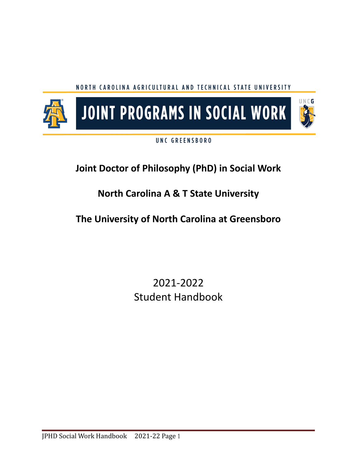## NORTH CAROLINA AGRICULTURAL AND TECHNICAL STATE UNIVERSITY



## UNC GREENSBORO

# **Joint Doctor of Philosophy (PhD) in Social Work**

# **North Carolina A & T State University**

# **The University of North Carolina at Greensboro**

# 2021-2022 Student Handbook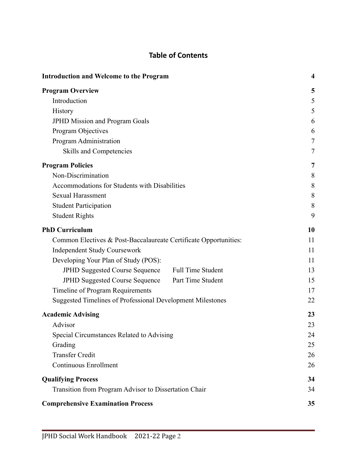## **Table of Contents**

| <b>Introduction and Welcome to the Program</b>                    | $\overline{\mathbf{4}}$ |
|-------------------------------------------------------------------|-------------------------|
| <b>Program Overview</b>                                           | 5                       |
| Introduction                                                      | 5                       |
| <b>History</b>                                                    | 5                       |
| <b>JPHD Mission and Program Goals</b>                             | 6                       |
| Program Objectives                                                | 6                       |
| Program Administration                                            | 7                       |
| Skills and Competencies                                           | 7                       |
| <b>Program Policies</b>                                           | 7                       |
| Non-Discrimination                                                | 8                       |
| Accommodations for Students with Disabilities                     | 8                       |
| <b>Sexual Harassment</b>                                          | 8                       |
| <b>Student Participation</b>                                      | 8                       |
| <b>Student Rights</b>                                             | 9                       |
| <b>PhD Curriculum</b>                                             | 10                      |
| Common Electives & Post-Baccalaureate Certificate Opportunities:  | 11                      |
| <b>Independent Study Coursework</b>                               | 11                      |
| Developing Your Plan of Study (POS):                              | 11                      |
| <b>JPHD Suggested Course Sequence</b><br><b>Full Time Student</b> | 13                      |
| Part Time Student<br><b>JPHD Suggested Course Sequence</b>        | 15                      |
| Timeline of Program Requirements                                  | 17                      |
| Suggested Timelines of Professional Development Milestones        | 22                      |
| <b>Academic Advising</b>                                          | 23                      |
| Advisor                                                           | 23                      |
| Special Circumstances Related to Advising                         | 24                      |
| Grading                                                           | 25                      |
| <b>Transfer Credit</b>                                            | 26                      |
| <b>Continuous Enrollment</b>                                      | 26                      |
| <b>Qualifying Process</b>                                         | 34                      |
| Transition from Program Advisor to Dissertation Chair             | 34                      |
| <b>Comprehensive Examination Process</b>                          | 35                      |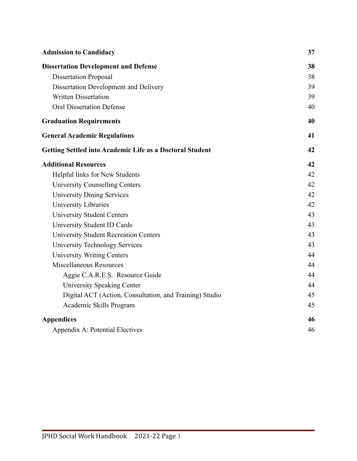| <b>Admission to Candidacy</b>                                   | 37 |
|-----------------------------------------------------------------|----|
| <b>Dissertation Development and Defense</b>                     | 38 |
| <b>Dissertation Proposal</b>                                    | 38 |
| Dissertation Development and Delivery                           | 39 |
| <b>Written Dissertation</b>                                     | 39 |
| <b>Oral Dissertation Defense</b>                                | 40 |
| <b>Graduation Requirements</b>                                  | 40 |
| <b>General Academic Regulations</b>                             | 41 |
| <b>Getting Settled into Academic Life as a Doctoral Student</b> | 42 |
| <b>Additional Resources</b>                                     | 42 |
| Helpful links for New Students                                  | 42 |
| <b>University Counselling Centers</b>                           | 42 |
| <b>University Dining Services</b>                               | 42 |
| <b>University Libraries</b>                                     | 42 |
| <b>University Student Centers</b>                               | 43 |
| University Student ID Cards                                     | 43 |
| <b>University Student Recreation Centers</b>                    | 43 |
| <b>University Technology Services</b>                           | 43 |
| <b>University Writing Centers</b>                               | 44 |
| <b>Miscellaneous Resources</b>                                  | 44 |
| Aggie C.A.R.E.S. Resource Guide                                 | 44 |
| <b>University Speaking Center</b>                               | 44 |
| Digital ACT (Action, Consultation, and Training) Studio         | 45 |
| Academic Skills Program                                         | 45 |
| <b>Appendices</b>                                               | 46 |
| Appendix A: Potential Electives                                 | 46 |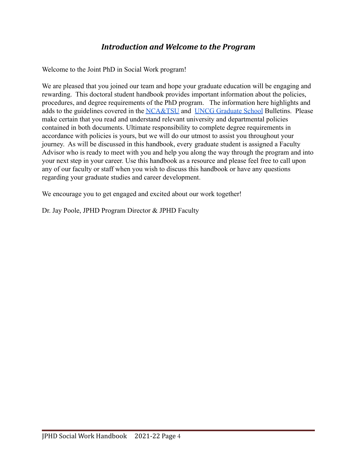## *Introduction and Welcome to the Program*

<span id="page-3-0"></span>Welcome to the Joint PhD in Social Work program!

We are pleased that you joined our team and hope your graduate education will be engaging and rewarding. This doctoral student handbook provides important information about the policies, procedures, and degree requirements of the PhD program. The information here highlights and adds to the guidelines covered in the [NCA&TSU](https://www.ncat.edu/tgc/graduate-catalog/index.php) and [UNCG Graduate School](https://catalog.uncg.edu/) Bulletins. Please make certain that you read and understand relevant university and departmental policies contained in both documents. Ultimate responsibility to complete degree requirements in accordance with policies is yours, but we will do our utmost to assist you throughout your journey. As will be discussed in this handbook, every graduate student is assigned a Faculty Advisor who is ready to meet with you and help you along the way through the program and into your next step in your career. Use this handbook as a resource and please feel free to call upon any of our faculty or staff when you wish to discuss this handbook or have any questions regarding your graduate studies and career development.

We encourage you to get engaged and excited about our work together!

Dr. Jay Poole, JPHD Program Director & JPHD Faculty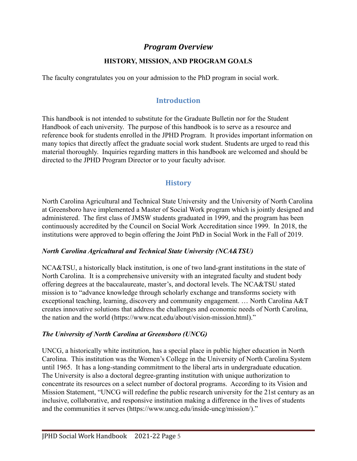## *Program Overview*

#### **HISTORY, MISSION, AND PROGRAM GOALS**

<span id="page-4-1"></span><span id="page-4-0"></span>The faculty congratulates you on your admission to the PhD program in social work.

## **Introduction**

This handbook is not intended to substitute for the Graduate Bulletin nor for the Student Handbook of each university. The purpose of this handbook is to serve as a resource and reference book for students enrolled in the JPHD Program. It provides important information on many topics that directly affect the graduate social work student. Students are urged to read this material thoroughly. Inquiries regarding matters in this handbook are welcomed and should be directed to the JPHD Program Director or to your faculty advisor.

## **History**

<span id="page-4-2"></span>North Carolina Agricultural and Technical State University and the University of North Carolina at Greensboro have implemented a Master of Social Work program which is jointly designed and administered. The first class of JMSW students graduated in 1999, and the program has been continuously accredited by the Council on Social Work Accreditation since 1999. In 2018, the institutions were approved to begin offering the Joint PhD in Social Work in the Fall of 2019.

#### *North Carolina Agricultural and Technical State University (NCA&TSU)*

NCA&TSU, a historically black institution, is one of two land-grant institutions in the state of North Carolina. It is a comprehensive university with an integrated faculty and student body offering degrees at the baccalaureate, master's, and doctoral levels. The NCA&TSU stated mission is to "advance knowledge through scholarly exchange and transforms society with exceptional teaching, learning, discovery and community engagement. … North Carolina A&T creates innovative solutions that address the challenges and economic needs of North Carolina, the nation and the world (https://www.ncat.edu/about/vision-mission.html)."

#### *The University of North Carolina at Greensboro (UNCG)*

UNCG, a historically white institution, has a special place in public higher education in North Carolina. This institution was the Women's College in the University of North Carolina System until 1965. It has a long-standing commitment to the liberal arts in undergraduate education. The University is also a doctoral degree-granting institution with unique authorization to concentrate its resources on a select number of doctoral programs. According to its Vision and Mission Statement, "UNCG will redefine the public research university for the 21st century as an inclusive, collaborative, and responsive institution making a difference in the lives of students and the communities it serves (https://www.uncg.edu/inside-uncg/mission/)."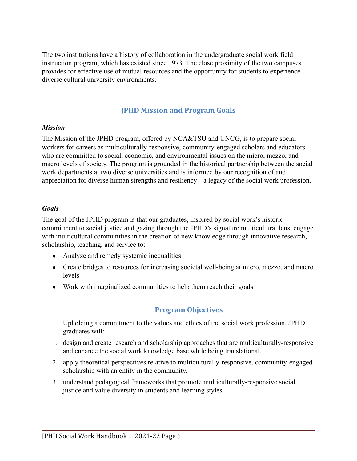The two institutions have a history of collaboration in the undergraduate social work field instruction program, which has existed since 1973. The close proximity of the two campuses provides for effective use of mutual resources and the opportunity for students to experience diverse cultural university environments.

#### **JPHD Mission and Program Goals**

#### <span id="page-5-0"></span>*Mission*

The Mission of the JPHD program, offered by NCA&TSU and UNCG, is to prepare social workers for careers as multiculturally-responsive, community-engaged scholars and educators who are committed to social, economic, and environmental issues on the micro, mezzo, and macro levels of society. The program is grounded in the historical partnership between the social work departments at two diverse universities and is informed by our recognition of and appreciation for diverse human strengths and resiliency-- a legacy of the social work profession.

#### *Goals*

The goal of the JPHD program is that our graduates, inspired by social work's historic commitment to social justice and gazing through the JPHD's signature multicultural lens, engage with multicultural communities in the creation of new knowledge through innovative research, scholarship, teaching, and service to:

- Analyze and remedy systemic inequalities
- Create bridges to resources for increasing societal well-being at micro, mezzo, and macro levels
- <span id="page-5-1"></span>• Work with marginalized communities to help them reach their goals

## **Program Objectives**

Upholding a commitment to the values and ethics of the social work profession, JPHD graduates will:

- 1. design and create research and scholarship approaches that are multiculturally-responsive and enhance the social work knowledge base while being translational.
- 2. apply theoretical perspectives relative to multiculturally-responsive, community-engaged scholarship with an entity in the community.
- 3. understand pedagogical frameworks that promote multiculturally-responsive social justice and value diversity in students and learning styles.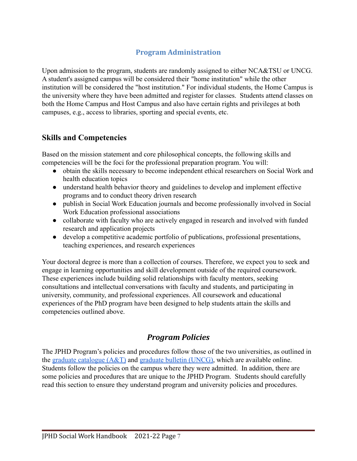## **Program Administration**

<span id="page-6-0"></span>Upon admission to the program, students are randomly assigned to either NCA&TSU or UNCG. A student's assigned campus will be considered their "home institution" while the other institution will be considered the "host institution." For individual students, the Home Campus is the university where they have been admitted and register for classes. Students attend classes on both the Home Campus and Host Campus and also have certain rights and privileges at both campuses, e.g., access to libraries, sporting and special events, etc.

## <span id="page-6-1"></span>**Skills and Competencies**

Based on the mission statement and core philosophical concepts, the following skills and competencies will be the foci for the professional preparation program. You will:

- obtain the skills necessary to become independent ethical researchers on Social Work and health education topics
- understand health behavior theory and guidelines to develop and implement effective programs and to conduct theory driven research
- publish in Social Work Education journals and become professionally involved in Social Work Education professional associations
- collaborate with faculty who are actively engaged in research and involved with funded research and application projects
- develop a competitive academic portfolio of publications, professional presentations, teaching experiences, and research experiences

Your doctoral degree is more than a collection of courses. Therefore, we expect you to seek and engage in learning opportunities and skill development outside of the required coursework. These experiences include building solid relationships with faculty mentors, seeking consultations and intellectual conversations with faculty and students, and participating in university, community, and professional experiences. All coursework and educational experiences of the PhD program have been designed to help students attain the skills and competencies outlined above.

## *Program Policies*

<span id="page-6-2"></span>The JPHD Program's policies and procedures follow those of the two universities, as outlined in the graduate catalogue  $(A&T)$  and [graduate bulletin](https://catalog.uncg.edu/) (UNCG), which are available online. Students follow the policies on the campus where they were admitted. In addition, there are some policies and procedures that are unique to the JPHD Program. Students should carefully read this section to ensure they understand program and university policies and procedures.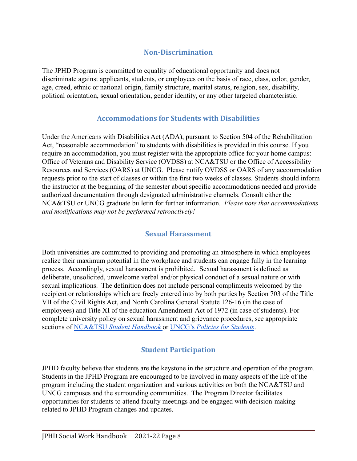## **Non-Discrimination**

<span id="page-7-0"></span>The JPHD Program is committed to equality of educational opportunity and does not discriminate against applicants, students, or employees on the basis of race, class, color, gender, age, creed, ethnic or national origin, family structure, marital status, religion, sex, disability, political orientation, sexual orientation, gender identity, or any other targeted characteristic.

## **Accommodations for Students with Disabilities**

<span id="page-7-1"></span>Under the Americans with Disabilities Act (ADA), pursuant to Section 504 of the Rehabilitation Act, "reasonable accommodation" to students with disabilities is provided in this course. If you require an accommodation, you must register with the appropriate office for your home campus: Office of Veterans and Disability Service (OVDSS) at NCA&TSU or the Office of Accessibility Resources and Services (OARS) at UNCG. Please notify OVDSS or OARS of any accommodation requests prior to the start of classes or within the first two weeks of classes. Students should inform the instructor at the beginning of the semester about specific accommodations needed and provide authorized documentation through designated administrative channels. Consult either the NCA&TSU or UNCG graduate bulletin for further information. *Please note that accommodations and modifications may not be performed retroactively!*

## **Sexual Harassment**

<span id="page-7-2"></span>Both universities are committed to providing and promoting an atmosphere in which employees realize their maximum potential in the workplace and students can engage fully in the learning process. Accordingly, sexual harassment is prohibited. Sexual harassment is defined as deliberate, unsolicited, unwelcome verbal and/or physical conduct of a sexual nature or with sexual implications. The definition does not include personal compliments welcomed by the recipient or relationships which are freely entered into by both parties by Section 703 of the Title VII of the Civil Rights Act, and North Carolina General Statute 126-16 (in the case of employees) and Title XI of the education Amendment Act of 1972 (in case of students). For complete university policy on sexual harassment and grievance procedures, see appropriate sections of NCA&TSU *[Student Handbook](https://www.ncat.edu/campus-life/pdfs/student-handbook-19-20.pdf)* or UNCG's *Policies [for Students](https://sa.uncg.edu/handbook/policies/)*.

## **Student Participation**

<span id="page-7-3"></span>JPHD faculty believe that students are the keystone in the structure and operation of the program. Students in the JPHD Program are encouraged to be involved in many aspects of the life of the program including the student organization and various activities on both the NCA&TSU and UNCG campuses and the surrounding communities. The Program Director facilitates opportunities for students to attend faculty meetings and be engaged with decision-making related to JPHD Program changes and updates.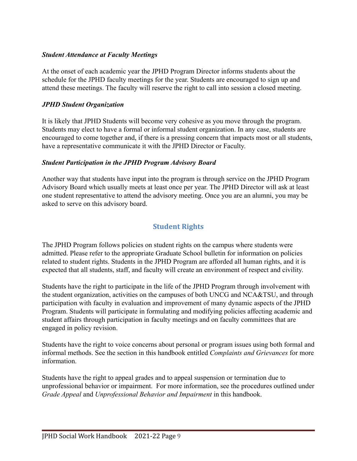#### *Student Attendance at Faculty Meetings*

At the onset of each academic year the JPHD Program Director informs students about the schedule for the JPHD faculty meetings for the year. Students are encouraged to sign up and attend these meetings. The faculty will reserve the right to call into session a closed meeting.

#### *JPHD Student Organization*

It is likely that JPHD Students will become very cohesive as you move through the program. Students may elect to have a formal or informal student organization. In any case, students are encouraged to come together and, if there is a pressing concern that impacts most or all students, have a representative communicate it with the JPHD Director or Faculty.

#### *Student Participation in the JPHD Program Advisory Board*

Another way that students have input into the program is through service on the JPHD Program Advisory Board which usually meets at least once per year. The JPHD Director will ask at least one student representative to attend the advisory meeting. Once you are an alumni, you may be asked to serve on this advisory board.

## **Student Rights**

<span id="page-8-0"></span>The JPHD Program follows policies on student rights on the campus where students were admitted. Please refer to the appropriate Graduate School bulletin for information on policies related to student rights. Students in the JPHD Program are afforded all human rights, and it is expected that all students, staff, and faculty will create an environment of respect and civility.

Students have the right to participate in the life of the JPHD Program through involvement with the student organization, activities on the campuses of both UNCG and NCA&TSU, and through participation with faculty in evaluation and improvement of many dynamic aspects of the JPHD Program. Students will participate in formulating and modifying policies affecting academic and student affairs through participation in faculty meetings and on faculty committees that are engaged in policy revision.

Students have the right to voice concerns about personal or program issues using both formal and informal methods. See the section in this handbook entitled *Complaints and Grievances* for more information.

Students have the right to appeal grades and to appeal suspension or termination due to unprofessional behavior or impairment. For more information, see the procedures outlined under *Grade Appeal* and *Unprofessional Behavior and Impairment* in this handbook.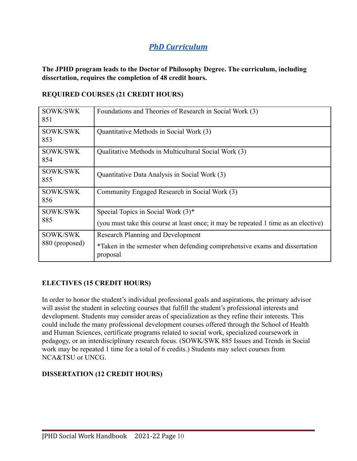## *PhD Curriculum*

<span id="page-9-0"></span>**The JPHD program leads to the Doctor of Philosophy Degree. The curriculum, including dissertation, requires the completion of 48 credit hours.**

#### **REQUIRED COURSES (21 CREDIT HOURS)**

| SOWK/SWK<br>851 | Foundations and Theories of Research in Social Work (3)                                |
|-----------------|----------------------------------------------------------------------------------------|
| SOWK/SWK<br>853 | Quantitative Methods in Social Work (3)                                                |
| SOWK/SWK<br>854 | Qualitative Methods in Multicultural Social Work (3)                                   |
| SOWK/SWK<br>855 | Quantitative Data Analysis in Social Work (3)                                          |
| SOWK/SWK<br>856 | Community Engaged Research in Social Work (3)                                          |
| SOWK/SWK        | Special Topics in Social Work $(3)^*$                                                  |
| 885             | (you must take this course at least once; it may be repeated 1 time as an elective)    |
| SOWK/SWK        | <b>Research Planning and Development</b>                                               |
| 880 (proposed)  | *Taken in the semester when defending comprehensive exams and dissertation<br>proposal |

#### **ELECTIVES (15 CREDIT HOURS)**

In order to honor the student's individual professional goals and aspirations, the primary advisor will assist the student in selecting courses that fulfill the student's professional interests and development. Students may consider areas of specialization as they refine their interests. This could include the many professional development courses offered through the School of Health and Human Sciences, certificate programs related to social work, specialized coursework in pedagogy, or an interdisciplinary research focus. (SOWK/SWK 885 Issues and Trends in Social work may be repeated 1 time for a total of 6 credits.) Students may select courses from NCA&TSU or UNCG.

#### **DISSERTATION (12 CREDIT HOURS)**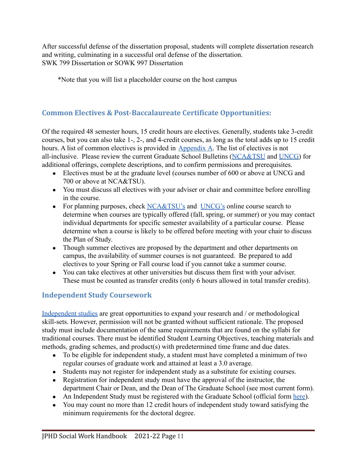After successful defense of the dissertation proposal, students will complete dissertation research and writing, culminating in a successful oral defense of the dissertation. SWK 799 Dissertation or SOWK 997 Dissertation

\*Note that you will list a placeholder course on the host campus

## <span id="page-10-0"></span>**Common Electives & Post-Baccalaureate Certificate Opportunities:**

Of the required 48 semester hours, 15 credit hours are electives. Generally, students take 3-credit courses, but you can also take 1-, 2-, and 4-credit courses, as long as the total adds up to 15 credit hours. A list of common electives is provided in [Appendix](#page-44-6) A. The list of electives is not all-inclusive. Please review the current Graduate School Bulletins ([NCA&TSU](https://www.ncat.edu/tgc/graduate-catalog/index.html) and [UNCG\)](https://catalog.uncg.edu/) for additional offerings, complete descriptions, and to confirm permissions and prerequisites.

- Electives must be at the graduate level (courses number of 600 or above at UNCG and 700 or above at NCA&TSU).
- You must discuss all electives with your adviser or chair and committee before enrolling in the course.
- For planning purposes, check [NCA&TSU's](https://ssbprod-ncat.uncecs.edu/pls/NCATPROD/bwckschd.p_disp_dyn_sched) and [UNCG's](https://ssb.uncg.edu/prod/bwckschd.p_disp_dyn_sched) online course search to determine when courses are typically offered (fall, spring, or summer) or you may contact individual departments for specific semester availability of a particular course. Please determine when a course is likely to be offered before meeting with your chair to discuss the Plan of Study.
- Though summer electives are proposed by the department and other departments on campus, the availability of summer courses is not guaranteed. Be prepared to add electives to your Spring or Fall course load if you cannot take a summer course.
- You can take electives at other universities but discuss them first with your adviser. These must be counted as transfer credits (only 6 hours allowed in total transfer credits).

## <span id="page-10-1"></span>**Independent Study Coursework**

[Independent studies](https://grs.uncg.edu/graduatebulletin/independent-study-graduate/) are great opportunities to expand your research and / or methodological skill-sets. However, permission will not be granted without sufficient rationale. The proposed study must include documentation of the same requirements that are found on the syllabi for traditional courses. There must be identified Student Learning Objectives, teaching materials and methods, grading schemes, and product(s) with predetermined time frame and due dates.

- To be eligible for independent study, a student must have completed a minimum of two regular courses of graduate work and attained at least a 3.0 average.
- Students may not register for independent study as a substitute for existing courses.
- Registration for independent study must have the approval of the instructor, the department Chair or Dean, and the Dean of The Graduate School (see most current form).
- An Independent Study must be registered with the Graduate School (official form [here\)](https://spartancentral.uncg.edu/forms/permission-to-register-for-independent-study/).
- You may count no more than 12 credit hours of independent study toward satisfying the minimum requirements for the doctoral degree.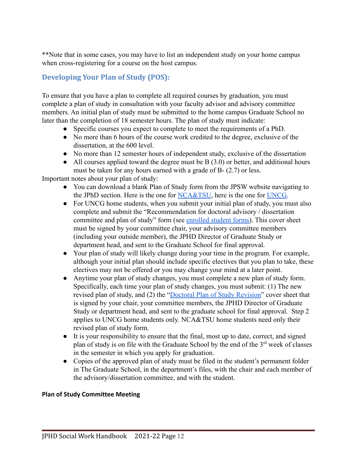\*\*Note that in some cases, you may have to list an independent study on your home campus when cross-registering for a course on the host campus.

## <span id="page-11-0"></span>**Developing Your Plan of Study (POS):**

To ensure that you have a plan to complete all required courses by graduation, you must complete a plan of study in consultation with your faculty advisor and advisory committee members. An initial plan of study must be submitted to the home campus Graduate School no later than the completion of 18 semester hours. The plan of study must indicate:

- Specific courses you expect to complete to meet the requirements of a PhD.
- No more than 6 hours of the course work credited to the degree, exclusive of the dissertation, at the 600 level.
- No more than 12 semester hours of independent study, exclusive of the dissertation
- $\bullet$  All courses applied toward the degree must be B (3.0) or better, and additional hours must be taken for any hours earned with a grade of B- (2.7) or less.

Important notes about your plan of study:

- You can download a blank Plan of Study form from the JPSW website navigating to the JPhD section. Here is the one for [NCA&TSU](https://www.ncat.edu/ced/departments/planofstudy.pdf), here is the one for [UNCG.](https://ncatuncgjpsw.org/wp-content/uploads/2019/07/proposed-uncg-plan-of-study-2019.pdf)
- For UNCG home students, when you submit your initial plan of study, you must also complete and submit the "Recommendation for doctoral advisory / dissertation committee and plan of study" form (see [enrolled student](https://grs.uncg.edu/wp-content/uploads/2016/08/RECOMMENDATION-FOR-DOCTORAL-ADVISORY_DISSERTATION-COMMITTEE-AND-_PLAN-OF-STUDY.pdf) forms). This cover sheet must be signed by your committee chair, your advisory committee members (including your outside member), the JPHD Director of Graduate Study or department head, and sent to the Graduate School for final approval.
- Your plan of study will likely change during your time in the program. For example, although your initial plan should include specific electives that you plan to take, these electives may not be offered or you may change your mind at a later point.
- Anytime your plan of study changes, you must complete a new plan of study form. Specifically, each time your plan of study changes, you must submit: (1) The new revised plan of study, and (2) the "Doctoral Plan [of Study Revision"](https://grs.uncg.edu/wp-content/uploads/2016/08/Doctoral-Plan-Study-of-Revision-revised-8.8.16.pdf) cover sheet that is signed by your chair, your committee members, the JPHD Director of Graduate Study or department head, and sent to the graduate school for final approval. Step 2 applies to UNCG home students only. NCA&TSU home students need only their revised plan of study form.
- It is your responsibility to ensure that the final, most up to date, correct, and signed plan of study is on file with the Graduate School by the end of the 3rd week of classes in the semester in which you apply for graduation.
- Copies of the approved plan of study must be filed in the student's permanent folder in The Graduate School, in the department's files, with the chair and each member of the advisory/dissertation committee, and with the student.

#### **Plan of Study Committee Meeting**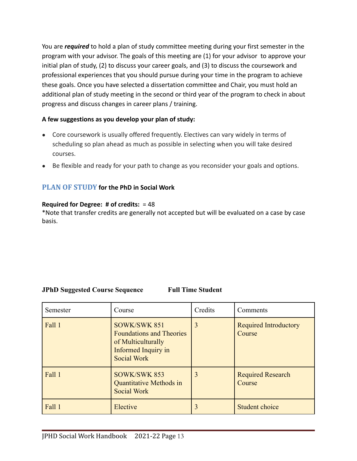You are *required* to hold a plan of study committee meeting during your first semester in the program with your advisor. The goals of this meeting are (1) for your advisor to approve your initial plan of study, (2) to discuss your career goals, and (3) to discuss the coursework and professional experiences that you should pursue during your time in the program to achieve these goals. Once you have selected a dissertation committee and Chair, you must hold an additional plan of study meeting in the second or third year of the program to check in about progress and discuss changes in career plans / training.

#### **A few suggestions as you develop your plan of study:**

- Core coursework is usually offered frequently. Electives can vary widely in terms of scheduling so plan ahead as much as possible in selecting when you will take desired courses.
- Be flexible and ready for your path to change as you reconsider your goals and options.

#### **PLAN OF STUDY for the PhD in Social Work**

#### **Required for Degree: # of credits:** = 48

\*Note that transfer credits are generally not accepted but will be evaluated on a case by case basis.

#### **JPhD Suggested Course Sequence Full Time Student**

| Semester | Course                                                                                                      | Credits | Comments                               |
|----------|-------------------------------------------------------------------------------------------------------------|---------|----------------------------------------|
| Fall 1   | SOWK/SWK 851<br><b>Foundations and Theories</b><br>of Multiculturally<br>Informed Inquiry in<br>Social Work | 3       | <b>Required Introductory</b><br>Course |
| Fall 1   | SOWK/SWK 853<br><b>Quantitative Methods in</b><br><b>Social Work</b>                                        | 3       | <b>Required Research</b><br>Course     |
| Fall 1   | Elective                                                                                                    |         | <b>Student choice</b>                  |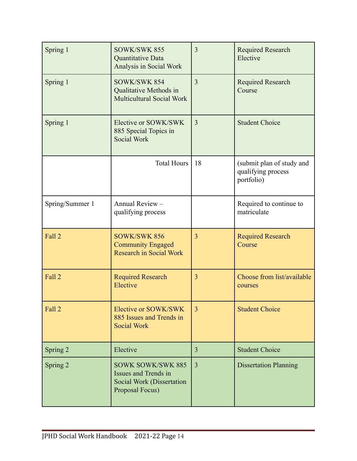| Spring 1        | SOWK/SWK 855<br>Quantitative Data<br>Analysis in Social Work                                                   | 3              | <b>Required Research</b><br>Elective                          |
|-----------------|----------------------------------------------------------------------------------------------------------------|----------------|---------------------------------------------------------------|
| Spring 1        | SOWK/SWK 854<br>Qualitative Methods in<br>Multicultural Social Work                                            | $\overline{3}$ | <b>Required Research</b><br>Course                            |
| Spring 1        | Elective or SOWK/SWK<br>885 Special Topics in<br><b>Social Work</b>                                            | $\overline{3}$ | <b>Student Choice</b>                                         |
|                 | Total Hours                                                                                                    | 18             | (submit plan of study and<br>qualifying process<br>portfolio) |
| Spring/Summer 1 | Annual Review -<br>qualifying process                                                                          |                | Required to continue to<br>matriculate                        |
| Fall 2          | <b>SOWK/SWK 856</b><br><b>Community Engaged</b><br><b>Research in Social Work</b>                              | 3              | <b>Required Research</b><br>Course                            |
| Fall 2          | <b>Required Research</b><br>Elective                                                                           | 3              | Choose from list/available<br>courses                         |
| Fall 2          | Elective or SOWK/SWK<br>885 Issues and Trends in<br><b>Social Work</b>                                         | 3              | <b>Student Choice</b>                                         |
| Spring 2        | Elective                                                                                                       | 3              | <b>Student Choice</b>                                         |
| Spring 2        | <b>SOWK SOWK/SWK 885</b><br><b>Issues and Trends in</b><br><b>Social Work (Dissertation</b><br>Proposal Focus) | 3              | <b>Dissertation Planning</b>                                  |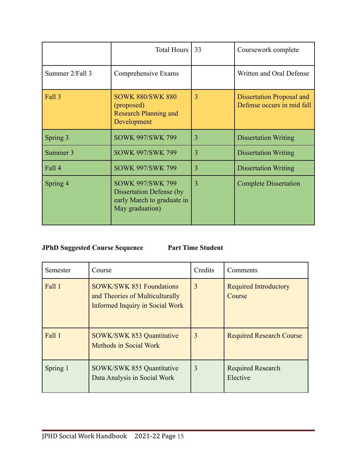|                 | Total Hours                                                                                                 | 33             | Coursework complete                                            |
|-----------------|-------------------------------------------------------------------------------------------------------------|----------------|----------------------------------------------------------------|
| Summer 2/Fall 3 | Comprehensive Exams                                                                                         |                | Written and Oral Defense                                       |
| Fall 3          | <b>SOWK 880/SWK 880</b><br>(proposed)<br><b>Research Planning and</b><br>Development                        | $\overline{3}$ | <b>Dissertation Proposal and</b><br>Defense occurs in mid fall |
| Spring 3        | <b>SOWK 997/SWK 799</b>                                                                                     | 3              | <b>Dissertation Writing</b>                                    |
| Summer 3        | <b>SOWK 997/SWK 799</b>                                                                                     | $\overline{3}$ | <b>Dissertation Writing</b>                                    |
| Fall 4          | <b>SOWK 997/SWK 799</b>                                                                                     | 3              | <b>Dissertation Writing</b>                                    |
| Spring 4        | <b>SOWK 997/SWK 799</b><br><b>Dissertation Defense (by</b><br>early March to graduate in<br>May graduation) | 3              | <b>Complete Dissertation</b>                                   |

### **JPhD Suggested Course Sequence Part Time Student**

| Semester | Course                                                                                                       | Credits | Comments                               |
|----------|--------------------------------------------------------------------------------------------------------------|---------|----------------------------------------|
| Fall 1   | <b>SOWK/SWK 851 Foundations</b><br>and Theories of Multiculturally<br><b>Informed Inquiry in Social Work</b> | 3       | <b>Required Introductory</b><br>Course |
| Fall 1   | <b>SOWK/SWK 853 Quantitative</b><br><b>Methods in Social Work</b>                                            | 3       | <b>Required Research Course</b>        |
| Spring 1 | <b>SOWK/SWK 855 Quantitative</b><br>Data Analysis in Social Work                                             | 3       | <b>Required Research</b><br>Elective   |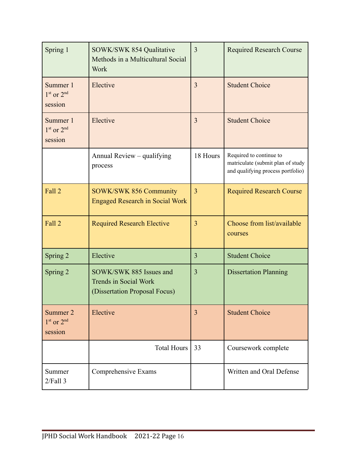| Spring 1                              | <b>SOWK/SWK 854 Qualitative</b><br>Methods in a Multicultural Social<br><b>Work</b>      | 3              | <b>Required Research Course</b>                                                                   |
|---------------------------------------|------------------------------------------------------------------------------------------|----------------|---------------------------------------------------------------------------------------------------|
| Summer 1<br>$1st$ or $2nd$<br>session | Elective                                                                                 | 3              | <b>Student Choice</b>                                                                             |
| Summer 1<br>$1st$ or $2nd$<br>session | Elective                                                                                 | 3              | <b>Student Choice</b>                                                                             |
|                                       | Annual Review – qualifying<br>process                                                    | 18 Hours       | Required to continue to<br>matriculate (submit plan of study<br>and qualifying process portfolio) |
| Fall 2                                | <b>SOWK/SWK 856 Community</b><br><b>Engaged Research in Social Work</b>                  | $\overline{3}$ | <b>Required Research Course</b>                                                                   |
| Fall 2                                | <b>Required Research Elective</b>                                                        | $\overline{3}$ | Choose from list/available<br>courses                                                             |
| Spring 2                              | Elective                                                                                 | 3              | <b>Student Choice</b>                                                                             |
| Spring 2                              | SOWK/SWK 885 Issues and<br><b>Trends in Social Work</b><br>(Dissertation Proposal Focus) | $\overline{3}$ | <b>Dissertation Planning</b>                                                                      |
| Summer 2<br>$1st$ or $2nd$<br>session | Elective                                                                                 | 3              | <b>Student Choice</b>                                                                             |
|                                       | <b>Total Hours</b>                                                                       | 33             | Coursework complete                                                                               |
| Summer<br>$2$ <i>Fall</i> $3$         | Comprehensive Exams                                                                      |                | Written and Oral Defense                                                                          |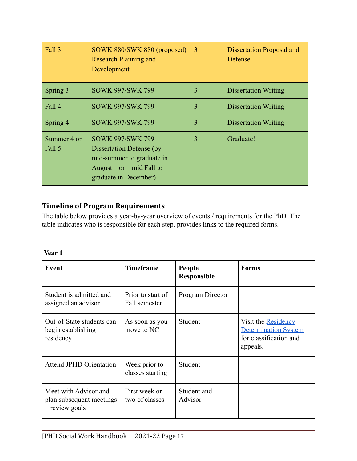| Fall 3                | SOWK 880/SWK 880 (proposed)<br><b>Research Planning and</b><br>Development                                                                      | $\overline{3}$ | <b>Dissertation Proposal and</b><br>Defense |
|-----------------------|-------------------------------------------------------------------------------------------------------------------------------------------------|----------------|---------------------------------------------|
| Spring 3              | <b>SOWK 997/SWK 799</b>                                                                                                                         | 3              | <b>Dissertation Writing</b>                 |
| Fall 4                | <b>SOWK 997/SWK 799</b>                                                                                                                         | 3              | <b>Dissertation Writing</b>                 |
| Spring 4              | <b>SOWK 997/SWK 799</b>                                                                                                                         | 3              | <b>Dissertation Writing</b>                 |
| Summer 4 or<br>Fall 5 | <b>SOWK 997/SWK 799</b><br><b>Dissertation Defense (by</b><br>mid-summer to graduate in<br>August – $or$ – mid Fall to<br>graduate in December) | 3              | Graduate!                                   |

## <span id="page-16-0"></span>**Timeline of Program Requirements**

The table below provides a year-by-year overview of events / requirements for the PhD. The table indicates who is responsible for each step, provides links to the required forms.

| ۰.<br>I |  |
|---------|--|
|         |  |

| <b>Event</b>                                                        | <b>Timeframe</b>                   | People<br><b>Responsible</b> | <b>Forms</b>                                                                             |
|---------------------------------------------------------------------|------------------------------------|------------------------------|------------------------------------------------------------------------------------------|
| Student is admitted and<br>assigned an advisor                      | Prior to start of<br>Fall semester | Program Director             |                                                                                          |
| Out-of-State students can<br>begin establishing<br>residency        | As soon as you<br>move to NC       | Student                      | Visit the Residency<br><b>Determination System</b><br>for classification and<br>appeals. |
| <b>Attend JPHD Orientation</b>                                      | Week prior to<br>classes starting  | Student                      |                                                                                          |
| Meet with Advisor and<br>plan subsequent meetings<br>- review goals | First week or<br>two of classes    | Student and<br>Advisor       |                                                                                          |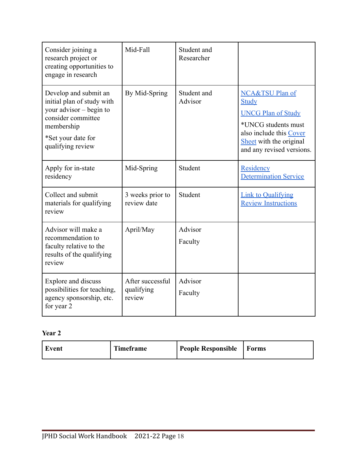| Consider joining a<br>research project or<br>creating opportunities to<br>engage in research                                                                    | Mid-Fall                                 | Student and<br>Researcher |                                                                                                                                                                 |
|-----------------------------------------------------------------------------------------------------------------------------------------------------------------|------------------------------------------|---------------------------|-----------------------------------------------------------------------------------------------------------------------------------------------------------------|
| Develop and submit an<br>initial plan of study with<br>your advisor $-$ begin to<br>consider committee<br>membership<br>*Set your date for<br>qualifying review | By Mid-Spring                            | Student and<br>Advisor    | NCA&TSU Plan of<br>Study<br><b>UNCG Plan of Study</b><br>*UNCG students must<br>also include this Cover<br>Sheet with the original<br>and any revised versions. |
| Apply for in-state<br>residency                                                                                                                                 | Mid-Spring                               | Student                   | Residency<br><b>Determination Service</b>                                                                                                                       |
| Collect and submit<br>materials for qualifying<br>review                                                                                                        | 3 weeks prior to<br>review date          | Student                   | <b>Link to Qualifying</b><br><b>Review Instructions</b>                                                                                                         |
| Advisor will make a<br>recommendation to<br>faculty relative to the<br>results of the qualifying<br>review                                                      | April/May                                | Advisor<br>Faculty        |                                                                                                                                                                 |
| <b>Explore and discuss</b><br>possibilities for teaching,<br>agency sponsorship, etc.<br>for year 2                                                             | After successful<br>qualifying<br>review | Advisor<br>Faculty        |                                                                                                                                                                 |

## **Year 2**

| Timeframe<br>Event | People Responsible   Forms |  |
|--------------------|----------------------------|--|
|--------------------|----------------------------|--|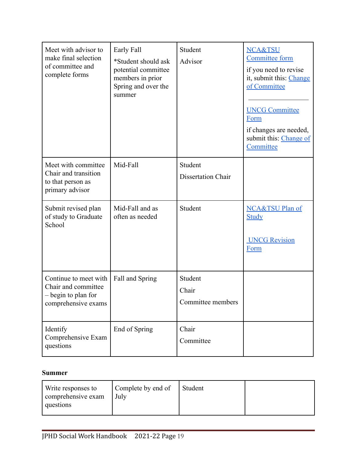| Meet with advisor to<br>make final selection<br>of committee and<br>complete forms         | Early Fall<br>*Student should ask<br>potential committee<br>members in prior<br>Spring and over the<br>summer | Student<br>Advisor                    | <b>NCA&amp;TSU</b><br><b>Committee form</b><br>if you need to revise<br>it, submit this: Change<br>of Committee<br><b>UNCG Committee</b><br>Form<br>if changes are needed,<br>submit this: Change of<br>Committee |
|--------------------------------------------------------------------------------------------|---------------------------------------------------------------------------------------------------------------|---------------------------------------|-------------------------------------------------------------------------------------------------------------------------------------------------------------------------------------------------------------------|
| Meet with committee<br>Chair and transition<br>to that person as<br>primary advisor        | Mid-Fall                                                                                                      | Student<br><b>Dissertation Chair</b>  |                                                                                                                                                                                                                   |
| Submit revised plan<br>of study to Graduate<br>School                                      | Mid-Fall and as<br>often as needed                                                                            | Student                               | NCA&TSU Plan of<br><b>Study</b><br><b>UNCG Revision</b><br>Form                                                                                                                                                   |
| Continue to meet with<br>Chair and committee<br>- begin to plan for<br>comprehensive exams | Fall and Spring                                                                                               | Student<br>Chair<br>Committee members |                                                                                                                                                                                                                   |
| Identify<br>Comprehensive Exam<br>questions                                                | End of Spring                                                                                                 | Chair<br>Committee                    |                                                                                                                                                                                                                   |

#### **Summer**

| Write responses to<br>comprehensive exam<br>questions | Complete by end of<br>July | Student |  |
|-------------------------------------------------------|----------------------------|---------|--|
|-------------------------------------------------------|----------------------------|---------|--|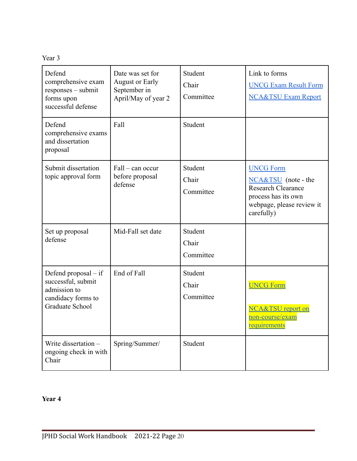| Defend<br>comprehensive exam<br>responses – submit<br>forms upon<br>successful defense                | Date was set for<br><b>August or Early</b><br>September in<br>April/May of year 2 | Student<br>Chair<br>Committee | Link to forms<br><b>UNCG Exam Result Form</b><br><b>NCA&amp;TSU Exam Report</b>                                                        |
|-------------------------------------------------------------------------------------------------------|-----------------------------------------------------------------------------------|-------------------------------|----------------------------------------------------------------------------------------------------------------------------------------|
| Defend<br>comprehensive exams<br>and dissertation<br>proposal                                         | Fall                                                                              | Student                       |                                                                                                                                        |
| Submit dissertation<br>topic approval form                                                            | Fall - can occur<br>before proposal<br>defense                                    | Student<br>Chair<br>Committee | <b>UNCG Form</b><br>NCA&TSU (note - the<br><b>Research Clearance</b><br>process has its own<br>webpage, please review it<br>carefully) |
| Set up proposal<br>defense                                                                            | Mid-Fall set date                                                                 | Student<br>Chair<br>Committee |                                                                                                                                        |
| Defend proposal $-$ if<br>successful, submit<br>admission to<br>candidacy forms to<br>Graduate School | End of Fall                                                                       | Student<br>Chair<br>Committee | <b>UNCG Form</b><br><b>NCA&amp;TSU</b> report on<br><u>non-course/exam</u><br><u>requirements</u>                                      |
| Write dissertation -<br>ongoing check in with<br>Chair                                                | Spring/Summer/                                                                    | Student                       |                                                                                                                                        |

## **Year 4**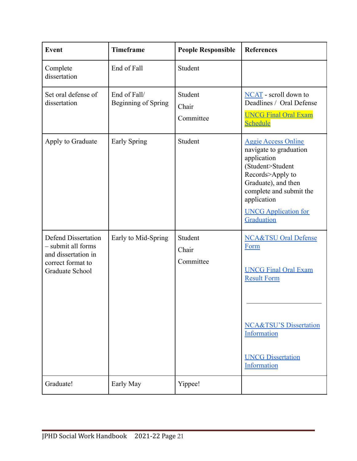| <b>Event</b>                                                                                                    | <b>Timeframe</b>                           | <b>People Responsible</b>     | <b>References</b>                                                                                                                                                                                                         |
|-----------------------------------------------------------------------------------------------------------------|--------------------------------------------|-------------------------------|---------------------------------------------------------------------------------------------------------------------------------------------------------------------------------------------------------------------------|
| Complete<br>dissertation                                                                                        | End of Fall                                | Student                       |                                                                                                                                                                                                                           |
| Set oral defense of<br>dissertation                                                                             | End of Fall/<br><b>Beginning of Spring</b> | Student<br>Chair<br>Committee | NCAT - scroll down to<br>Deadlines / Oral Defense<br><b>UNCG Final Oral Exam</b><br><b>Schedule</b>                                                                                                                       |
| Apply to Graduate                                                                                               | <b>Early Spring</b>                        | Student                       | <b>Aggie Access Online</b><br>navigate to graduation<br>application<br>(Student>Student<br>Records>Apply to<br>Graduate), and then<br>complete and submit the<br>application<br><b>UNCG Application for</b><br>Graduation |
| <b>Defend Dissertation</b><br>- submit all forms<br>and dissertation in<br>correct format to<br>Graduate School | Early to Mid-Spring                        | Student<br>Chair<br>Committee | <b>NCA&amp;TSU Oral Defense</b><br>Form<br><b>UNCG Final Oral Exam</b><br><b>Result Form</b><br><b>NCA&amp;TSU'S Dissertation</b><br>Information<br><b>UNCG Dissertation</b><br>Information                               |
| Graduate!                                                                                                       | Early May                                  | Yippee!                       |                                                                                                                                                                                                                           |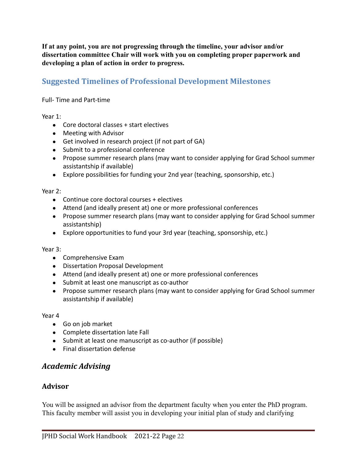**If at any point, you are not progressing through the timeline, your advisor and/or dissertation committee Chair will work with you on completing proper paperwork and developing a plan of action in order to progress.**

## <span id="page-21-0"></span>**Suggested Timelines of Professional Development Milestones**

#### Full- Time and Part-time

Year 1:

- Core doctoral classes + start electives
- Meeting with Advisor
- Get involved in research project (if not part of GA)
- Submit to a professional conference
- Propose summer research plans (may want to consider applying for Grad School summer assistantship if available)
- Explore possibilities for funding your 2nd year (teaching, sponsorship, etc.)

#### Year 2:

- Continue core doctoral courses + electives
- Attend (and ideally present at) one or more professional conferences
- Propose summer research plans (may want to consider applying for Grad School summer assistantship)
- Explore opportunities to fund your 3rd year (teaching, sponsorship, etc.)

#### Year 3:

- Comprehensive Exam
- Dissertation Proposal Development
- Attend (and ideally present at) one or more professional conferences
- Submit at least one manuscript as co-author
- Propose summer research plans (may want to consider applying for Grad School summer assistantship if available)

Year 4

- Go on job market
- Complete dissertation late Fall
- Submit at least one manuscript as co-author (if possible)
- Final dissertation defense

## <span id="page-21-1"></span>*Academic Advising*

#### <span id="page-21-2"></span>**Advisor**

You will be assigned an advisor from the department faculty when you enter the PhD program. This faculty member will assist you in developing your initial plan of study and clarifying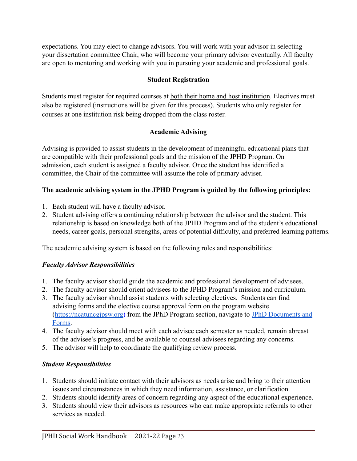expectations. You may elect to change advisors. You will work with your advisor in selecting your dissertation committee Chair, who will become your primary advisor eventually. All faculty are open to mentoring and working with you in pursuing your academic and professional goals.

#### **Student Registration**

Students must register for required courses at both their home and host institution. Electives must also be registered (instructions will be given for this process). Students who only register for courses at one institution risk being dropped from the class roster.

#### **Academic Advising**

Advising is provided to assist students in the development of meaningful educational plans that are compatible with their professional goals and the mission of the JPHD Program. On admission, each student is assigned a faculty advisor. Once the student has identified a committee, the Chair of the committee will assume the role of primary adviser.

## **The academic advising system in the JPHD Program is guided by the following principles:**

- 1. Each student will have a faculty advisor.
- 2. Student advising offers a continuing relationship between the advisor and the student. This relationship is based on knowledge both of the JPHD Program and of the student's educational needs, career goals, personal strengths, areas of potential difficulty, and preferred learning patterns.

The academic advising system is based on the following roles and responsibilities:

## *Faculty Advisor Responsibilities*

- 1. The faculty advisor should guide the academic and professional development of advisees.
- 2. The faculty advisor should orient advisees to the JPHD Program's mission and curriculum.
- 3. The faculty advisor should assist students with selecting electives. Students can find advising forms and the elective course approval form on the program website (<https://ncatuncgjpsw.org>) from the JPhD Program section, navigate to [JPhD Documents and](https://ncatuncgjpsw.org/?page_id=3325) [Forms.](https://ncatuncgjpsw.org/?page_id=3325)
- 4. The faculty advisor should meet with each advisee each semester as needed, remain abreast of the advisee's progress, and be available to counsel advisees regarding any concerns.
- 5. The advisor will help to coordinate the qualifying review process.

## *Student Responsibilities*

- 1. Students should initiate contact with their advisors as needs arise and bring to their attention issues and circumstances in which they need information, assistance, or clarification.
- 2. Students should identify areas of concern regarding any aspect of the educational experience.
- 3. Students should view their advisors as resources who can make appropriate referrals to other services as needed.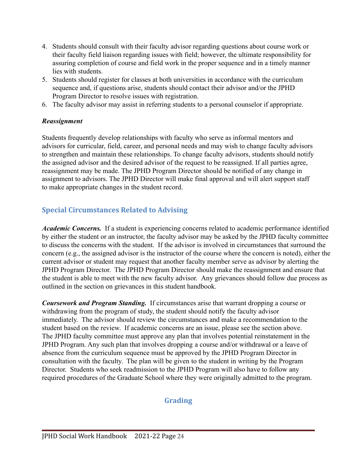- 4. Students should consult with their faculty advisor regarding questions about course work or their faculty field liaison regarding issues with field; however, the ultimate responsibility for assuring completion of course and field work in the proper sequence and in a timely manner lies with students.
- 5. Students should register for classes at both universities in accordance with the curriculum sequence and, if questions arise, students should contact their advisor and/or the JPHD Program Director to resolve issues with registration.
- 6. The faculty advisor may assist in referring students to a personal counselor if appropriate.

#### *Reassignment*

Students frequently develop relationships with faculty who serve as informal mentors and advisors for curricular, field, career, and personal needs and may wish to change faculty advisors to strengthen and maintain these relationships. To change faculty advisors, students should notify the assigned advisor and the desired advisor of the request to be reassigned. If all parties agree, reassignment may be made. The JPHD Program Director should be notified of any change in assignment to advisors. The JPHD Director will make final approval and will alert support staff to make appropriate changes in the student record.

## <span id="page-23-0"></span>**Special Circumstances Related to Advising**

*Academic Concerns.* If a student is experiencing concerns related to academic performance identified by either the student or an instructor, the faculty advisor may be asked by the JPHD faculty committee to discuss the concerns with the student. If the advisor is involved in circumstances that surround the concern (e.g., the assigned advisor is the instructor of the course where the concern is noted), either the current advisor or student may request that another faculty member serve as advisor by alerting the JPHD Program Director. The JPHD Program Director should make the reassignment and ensure that the student is able to meet with the new faculty advisor. Any grievances should follow due process as outlined in the section on grievances in this student handbook.

<span id="page-23-1"></span>*Coursework and Program Standing.* If circumstances arise that warrant dropping a course or withdrawing from the program of study, the student should notify the faculty advisor immediately. The advisor should review the circumstances and make a recommendation to the student based on the review. If academic concerns are an issue, please see the section above. The JPHD faculty committee must approve any plan that involves potential reinstatement in the JPHD Program. Any such plan that involves dropping a course and/or withdrawal or a leave of absence from the curriculum sequence must be approved by the JPHD Program Director in consultation with the faculty. The plan will be given to the student in writing by the Program Director. Students who seek readmission to the JPHD Program will also have to follow any required procedures of the Graduate School where they were originally admitted to the program.

## **Grading**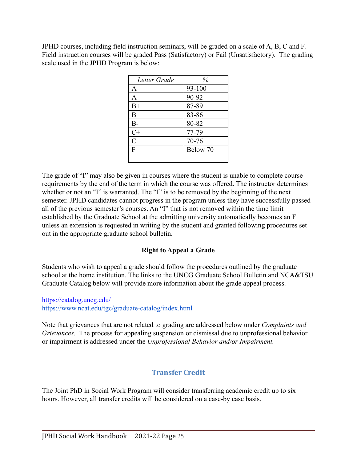JPHD courses, including field instruction seminars, will be graded on a scale of A, B, C and F. Field instruction courses will be graded Pass (Satisfactory) or Fail (Unsatisfactory). The grading scale used in the JPHD Program is below:

| Letter Grade   | %        |
|----------------|----------|
| A              | 93-100   |
| A-             | 90-92    |
| $B+$           | 87-89    |
| B              | 83-86    |
| $B-$           | 80-82    |
| $C+$           | 77-79    |
| $\overline{C}$ | 70-76    |
| $\overline{F}$ | Below 70 |
|                |          |

The grade of "I" may also be given in courses where the student is unable to complete course requirements by the end of the term in which the course was offered. The instructor determines whether or not an "I" is warranted. The "I" is to be removed by the beginning of the next semester. JPHD candidates cannot progress in the program unless they have successfully passed all of the previous semester's courses. An "I" that is not removed within the time limit established by the Graduate School at the admitting university automatically becomes an F unless an extension is requested in writing by the student and granted following procedures set out in the appropriate graduate school bulletin.

#### **Right to Appeal a Grade**

Students who wish to appeal a grade should follow the procedures outlined by the graduate school at the home institution. The links to the UNCG Graduate School Bulletin and NCA&TSU Graduate Catalog below will provide more information about the grade appeal process.

<https://catalog.uncg.edu/> [https://www.ncat.edu/tgc/graduate-catalog/index.html](https://www.ncat.edu/tgc/graduate-catalog/index.php)

Note that grievances that are not related to grading are addressed below under *Complaints and Grievances*. The process for appealing suspension or dismissal due to unprofessional behavior or impairment is addressed under the *Unprofessional Behavior and/or Impairment.*

## **Transfer Credit**

<span id="page-24-0"></span>The Joint PhD in Social Work Program will consider transferring academic credit up to six hours. However, all transfer credits will be considered on a case-by case basis.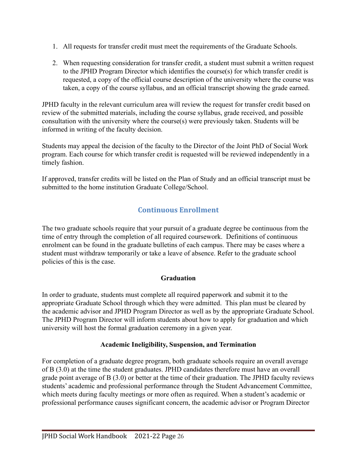- 1. All requests for transfer credit must meet the requirements of the Graduate Schools.
- 2. When requesting consideration for transfer credit, a student must submit a written request to the JPHD Program Director which identifies the course(s) for which transfer credit is requested, a copy of the official course description of the university where the course was taken, a copy of the course syllabus, and an official transcript showing the grade earned.

[JPHD faculty](https://hhs.uncg.edu/wordpress/jmsw/about-us/) in the relevant curriculum area will review the request for transfer credit based on review of the submitted materials, including the course syllabus, grade received, and possible consultation with the university where the course(s) were previously taken. Students will be informed in writing of the faculty decision.

Students may appeal the decision of the faculty to the Director of the Joint PhD of Social Work program. Each course for which transfer credit is requested will be reviewed independently in a timely fashion.

<span id="page-25-0"></span>If approved, transfer credits will be listed on the Plan of Study and an official transcript must be submitted to the home institution Graduate College/School.

## **Continuous Enrollment**

The two graduate schools require that your pursuit of a graduate degree be continuous from the time of entry through the completion of all required coursework. Definitions of continuous enrolment can be found in the graduate bulletins of each campus. There may be cases where a student must withdraw temporarily or take a leave of absence. Refer to the graduate school policies of this is the case.

#### **Graduation**

In order to graduate, students must complete all required paperwork and submit it to the appropriate Graduate School through which they were admitted. This plan must be cleared by the academic advisor and JPHD Program Director as well as by the appropriate Graduate School. The JPHD Program Director will inform students about how to apply for graduation and which university will host the formal graduation ceremony in a given year.

#### **Academic Ineligibility, Suspension, and Termination**

For completion of a graduate degree program, both graduate schools require an overall average of B (3.0) at the time the student graduates. JPHD candidates therefore must have an overall grade point average of B (3.0) or better at the time of their graduation. The JPHD faculty reviews students' academic and professional performance through the Student Advancement Committee, which meets during faculty meetings or more often as required. When a student's academic or professional performance causes significant concern, the academic advisor or Program Director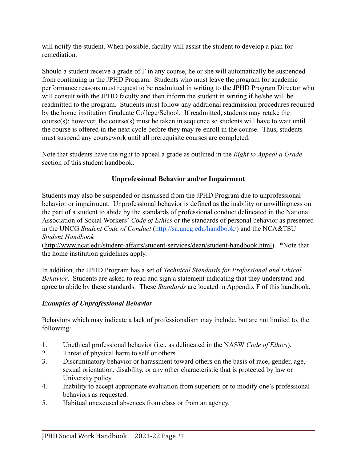will notify the student. When possible, faculty will assist the student to develop a plan for remediation.

Should a student receive a grade of F in any course, he or she will automatically be suspended from continuing in the JPHD Program. Students who must leave the program for academic performance reasons must request to be readmitted in writing to the JPHD Program Director who will consult with the JPHD faculty and then inform the student in writing if he/she will be readmitted to the program. Students must follow any additional readmission procedures required by the home institution Graduate College/School. If readmitted, students may retake the course(s); however, the course(s) must be taken in sequence so students will have to wait until the course is offered in the next cycle before they may re-enroll in the course. Thus, students must suspend any coursework until all prerequisite courses are completed.

Note that students have the right to appeal a grade as outlined in the *Right to Appeal a Grade* section of this student handbook.

#### **Unprofessional Behavior and/or Impairment**

Students may also be suspended or dismissed from the JPHD Program due to unprofessional behavior or impairment. Unprofessional behavior is defined as the inability or unwillingness on the part of a student to abide by the standards of professional conduct delineated in the National Association of Social Workers' *Code of Ethics* or the standards of personal behavior as presented in the UNCG *Student Code of Conduct* [\(http://sa.uncg.edu/handbook/\)](http://sa.uncg.edu/handbook/) and the NCA&TSU *Student Handbook*

([http://www.ncat.edu/student-affairs/student-services/dean/student-handbook.html\)](http://www.ncat.edu/student-affairs/student-services/dean/student-handbook.html). \*Note that the home institution guidelines apply.

In addition, the JPHD Program has a set of *Technical Standards for Professional and Ethical Behavior*. Students are asked to read and sign a statement indicating that they understand and agree to abide by these standards. These *Standards* are located in Appendix F of this handbook.

#### *Examples of Unprofessional Behavior*

Behaviors which may indicate a lack of professionalism may include, but are not limited to, the following:

- 1. Unethical professional behavior (i.e., as delineated in the NASW *Code of Ethics*).
- 2. Threat of physical harm to self or others.
- 3. Discriminatory behavior or harassment toward others on the basis of race, gender, age, sexual orientation, disability, or any other characteristic that is protected by law or University policy.
- 4. Inability to accept appropriate evaluation from superiors or to modify one's professional behaviors as requested.
- 5. Habitual unexcused absences from class or from an agency.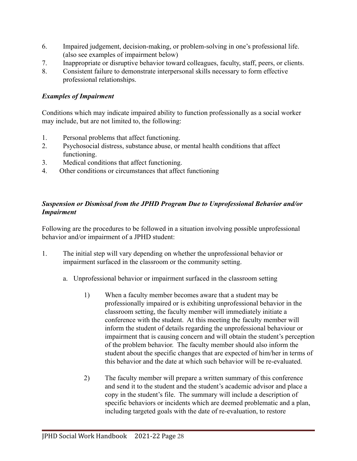- 6. Impaired judgement, decision-making, or problem-solving in one's professional life. (also see examples of impairment below)
- 7. Inappropriate or disruptive behavior toward colleagues, faculty, staff, peers, or clients.
- 8. Consistent failure to demonstrate interpersonal skills necessary to form effective professional relationships.

#### *Examples of Impairment*

Conditions which may indicate impaired ability to function professionally as a social worker may include, but are not limited to, the following:

- 1. Personal problems that affect functioning.
- 2. Psychosocial distress, substance abuse, or mental health conditions that affect functioning.
- 3. Medical conditions that affect functioning.
- 4. Other conditions or circumstances that affect functioning

#### *Suspension or Dismissal from the JPHD Program Due to Unprofessional Behavior and/or Impairment*

Following are the procedures to be followed in a situation involving possible unprofessional behavior and/or impairment of a JPHD student:

- 1. The initial step will vary depending on whether the unprofessional behavior or impairment surfaced in the classroom or the community setting.
	- a. Unprofessional behavior or impairment surfaced in the classroom setting
		- 1) When a faculty member becomes aware that a student may be professionally impaired or is exhibiting unprofessional behavior in the classroom setting, the faculty member will immediately initiate a conference with the student. At this meeting the faculty member will inform the student of details regarding the unprofessional behaviour or impairment that is causing concern and will obtain the student's perception of the problem behavior. The faculty member should also inform the student about the specific changes that are expected of him/her in terms of this behavior and the date at which such behavior will be re-evaluated.
		- 2) The faculty member will prepare a written summary of this conference and send it to the student and the student's academic advisor and place a copy in the student's file. The summary will include a description of specific behaviors or incidents which are deemed problematic and a plan, including targeted goals with the date of re-evaluation, to restore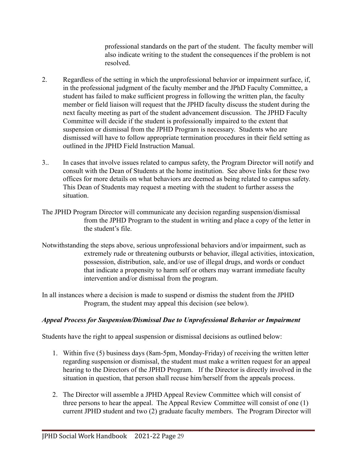professional standards on the part of the student. The faculty member will also indicate writing to the student the consequences if the problem is not resolved.

- 2. Regardless of the setting in which the unprofessional behavior or impairment surface, if, in the professional judgment of the faculty member and the JPhD Faculty Committee, a student has failed to make sufficient progress in following the written plan, the faculty member or field liaison will request that the JPHD faculty discuss the student during the next faculty meeting as part of the student advancement discussion. The JPHD Faculty Committee will decide if the student is professionally impaired to the extent that suspension or dismissal from the JPHD Program is necessary. Students who are dismissed will have to follow appropriate termination procedures in their field setting as outlined in the JPHD Field Instruction Manual.
- 3.. In cases that involve issues related to campus safety, the Program Director will notify and consult with the Dean of Students at the home institution. See above links for these two offices for more details on what behaviors are deemed as being related to campus safety. This Dean of Students may request a meeting with the student to further assess the situation.
- The JPHD Program Director will communicate any decision regarding suspension/dismissal from the JPHD Program to the student in writing and place a copy of the letter in the student's file.
- Notwithstanding the steps above, serious unprofessional behaviors and/or impairment, such as extremely rude or threatening outbursts or behavior, illegal activities, intoxication, possession, distribution, sale, and/or use of illegal drugs, and words or conduct that indicate a propensity to harm self or others may warrant immediate faculty intervention and/or dismissal from the program.

In all instances where a decision is made to suspend or dismiss the student from the JPHD Program, the student may appeal this decision (see below).

#### *Appeal Process for Suspension/Dismissal Due to Unprofessional Behavior or Impairment*

Students have the right to appeal suspension or dismissal decisions as outlined below:

- 1. Within five (5) business days (8am-5pm, Monday-Friday) of receiving the written letter regarding suspension or dismissal, the student must make a written request for an appeal hearing to the Directors of the JPHD Program. If the Director is directly involved in the situation in question, that person shall recuse him/herself from the appeals process.
- 2. The Director will assemble a JPHD Appeal Review Committee which will consist of three persons to hear the appeal. The Appeal Review Committee will consist of one (1) current JPHD student and two (2) graduate faculty members. The Program Director will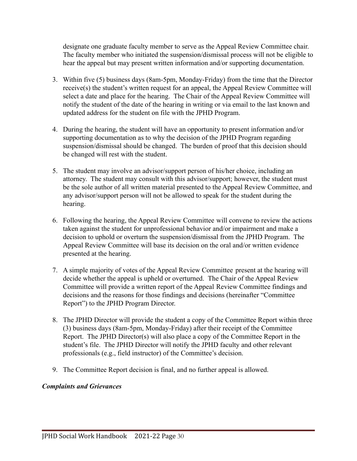designate one graduate faculty member to serve as the Appeal Review Committee chair. The faculty member who initiated the suspension/dismissal process will not be eligible to hear the appeal but may present written information and/or supporting documentation.

- 3. Within five (5) business days (8am-5pm, Monday-Friday) from the time that the Director receive(s) the student's written request for an appeal, the Appeal Review Committee will select a date and place for the hearing. The Chair of the Appeal Review Committee will notify the student of the date of the hearing in writing or via email to the last known and updated address for the student on file with the JPHD Program.
- 4. During the hearing, the student will have an opportunity to present information and/or supporting documentation as to why the decision of the JPHD Program regarding suspension/dismissal should be changed. The burden of proof that this decision should be changed will rest with the student.
- 5. The student may involve an advisor/support person of his/her choice, including an attorney. The student may consult with this advisor/support; however, the student must be the sole author of all written material presented to the Appeal Review Committee, and any advisor/support person will not be allowed to speak for the student during the hearing.
- 6. Following the hearing, the Appeal Review Committee will convene to review the actions taken against the student for unprofessional behavior and/or impairment and make a decision to uphold or overturn the suspension/dismissal from the JPHD Program. The Appeal Review Committee will base its decision on the oral and/or written evidence presented at the hearing.
- 7. A simple majority of votes of the Appeal Review Committee present at the hearing will decide whether the appeal is upheld or overturned. The Chair of the Appeal Review Committee will provide a written report of the Appeal Review Committee findings and decisions and the reasons for those findings and decisions (hereinafter "Committee Report") to the JPHD Program Director.
- 8. The JPHD Director will provide the student a copy of the Committee Report within three (3) business days (8am-5pm, Monday-Friday) after their receipt of the Committee Report. The JPHD Director(s) will also place a copy of the Committee Report in the student's file. The JPHD Director will notify the JPHD faculty and other relevant professionals (e.g., field instructor) of the Committee's decision.
- 9. The Committee Report decision is final, and no further appeal is allowed.

#### *Complaints and Grievances*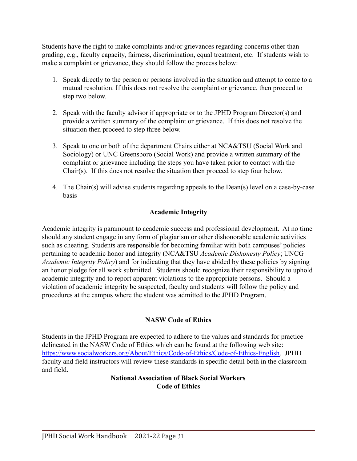Students have the right to make complaints and/or grievances regarding concerns other than grading, e.g., faculty capacity, fairness, discrimination, equal treatment, etc. If students wish to make a complaint or grievance, they should follow the process below:

- 1. Speak directly to the person or persons involved in the situation and attempt to come to a mutual resolution. If this does not resolve the complaint or grievance, then proceed to step two below.
- 2. Speak with the faculty advisor if appropriate or to the JPHD Program Director(s) and provide a written summary of the complaint or grievance. If this does not resolve the situation then proceed to step three below.
- 3. Speak to one or both of the department Chairs either at NCA&TSU (Social Work and Sociology) or UNC Greensboro (Social Work) and provide a written summary of the complaint or grievance including the steps you have taken prior to contact with the Chair(s). If this does not resolve the situation then proceed to step four below.
- 4. The Chair(s) will advise students regarding appeals to the Dean(s) level on a case-by-case basis

#### **Academic Integrity**

Academic integrity is paramount to academic success and professional development. At no time should any student engage in any form of plagiarism or other dishonorable academic activities such as cheating. Students are responsible for becoming familiar with both campuses' policies pertaining to academic honor and integrity (NCA&TSU *Academic Dishonesty Policy*; UNCG *Academic Integrity Policy*) and for indicating that they have abided by these policies by signing an honor pledge for all work submitted. Students should recognize their responsibility to uphold academic integrity and to report apparent violations to the appropriate persons. Should a violation of academic integrity be suspected, faculty and students will follow the policy and procedures at the campus where the student was admitted to the JPHD Program.

#### **NASW Code of Ethics**

Students in the JPHD Program are expected to adhere to the values and standards for practice delineated in the NASW Code of Ethics which can be found at the following web site: [https://www.socialworkers.org/About/Ethics/Code-of-Ethics/Code-of-Ethics-English.](https://www.socialworkers.org/About/Ethics/Code-of-Ethics/Code-of-Ethics-English) JPHD faculty and field instructors will review these standards in specific detail both in the classroom and field.

> **National Association of Black Social Workers Code of Ethics**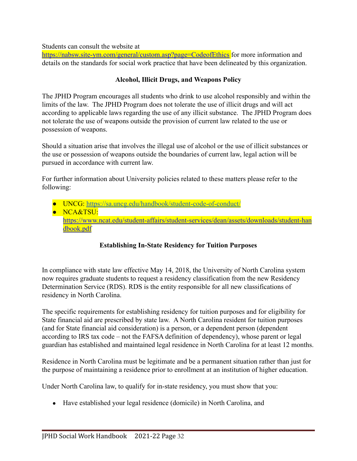Students can consult the website at

<https://nabsw.site-ym.com/general/custom.asp?page=CodeofEthics> for more information and details on the standards for social work practice that have been delineated by this organization.

#### **Alcohol, Illicit Drugs, and Weapons Policy**

The JPHD Program encourages all students who drink to use alcohol responsibly and within the limits of the law. The JPHD Program does not tolerate the use of illicit drugs and will act according to applicable laws regarding the use of any illicit substance. The JPHD Program does not tolerate the use of weapons outside the provision of current law related to the use or possession of weapons.

Should a situation arise that involves the illegal use of alcohol or the use of illicit substances or the use or possession of weapons outside the boundaries of current law, legal action will be pursued in accordance with current law.

For further information about University policies related to these matters please refer to the following:

- UNCG: <https://sa.uncg.edu/handbook/student-code-of-conduct/>
- NCA&TSU: [https://www.ncat.edu/student-affairs/student-services/dean/assets/downloads/student-han](https://www.ncat.edu/campus-life/pdfs/student-handbook-19-20.pdf) [dbook.pdf](https://www.ncat.edu/campus-life/pdfs/student-handbook-19-20.pdf)

## **Establishing In-State Residency for Tuition Purposes**

In compliance with state law effective May 14, 2018, the University of North Carolina system now requires graduate students to request a residency classification from the new Residency Determination Service (RDS). RDS is the entity responsible for all new classifications of residency in North Carolina.

The specific requirements for establishing residency for tuition purposes and for eligibility for State financial aid are prescribed by state law. A North Carolina resident for tuition purposes (and for State financial aid consideration) is a person, or a dependent person (dependent according to IRS tax code – not the FAFSA definition of dependency), whose parent or legal guardian has established and maintained legal residence in North Carolina for at least 12 months.

Residence in North Carolina must be legitimate and be a permanent situation rather than just for the purpose of maintaining a residence prior to enrollment at an institution of higher education.

Under North Carolina law, to qualify for in-state residency, you must show that you:

● Have established your legal residence (domicile) in North Carolina, and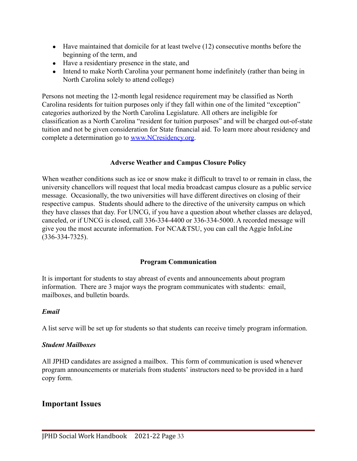- $\bullet$  Have maintained that domicile for at least twelve (12) consecutive months before the beginning of the term, and
- Have a residentiary presence in the state, and
- Intend to make North Carolina your permanent home indefinitely (rather than being in North Carolina solely to attend college)

Persons not meeting the 12-month legal residence requirement may be classified as North Carolina residents for tuition purposes only if they fall within one of the limited "exception" categories authorized by the North Carolina Legislature. All others are ineligible for classification as a North Carolina "resident for tuition purposes" and will be charged out-of-state tuition and not be given consideration for State financial aid. To learn more about residency and complete a determination go to [www.NCresidency.org](http://www.ncresidency.org/).

#### **Adverse Weather and Campus Closure Policy**

When weather conditions such as ice or snow make it difficult to travel to or remain in class, the university chancellors will request that local media broadcast campus closure as a public service message. Occasionally, the two universities will have different directives on closing of their respective campus. Students should adhere to the directive of the university campus on which they have classes that day. For UNCG, if you have a question about whether classes are delayed, canceled, or if UNCG is closed, call 336-334-4400 or 336-334-5000. A recorded message will give you the most accurate information. For NCA&TSU, you can call the Aggie InfoLine (336-334-7325).

#### **Program Communication**

It is important for students to stay abreast of events and announcements about program information. There are 3 major ways the program communicates with students: email, mailboxes, and bulletin boards.

#### *Email*

A list serve will be set up for students so that students can receive timely program information.

#### *Student Mailboxes*

All JPHD candidates are assigned a mailbox. This form of communication is used whenever program announcements or materials from students' instructors need to be provided in a hard copy form.

#### **Important Issues**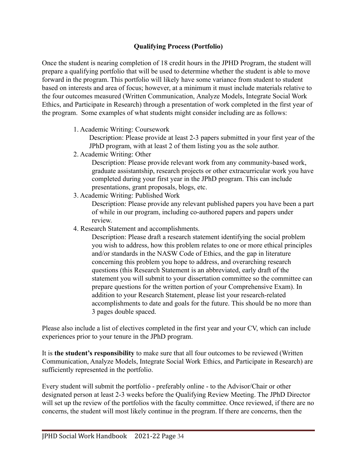#### **Qualifying Process (Portfolio)**

Once the student is nearing completion of 18 credit hours in the JPHD Program, the student will prepare a qualifying portfolio that will be used to determine whether the student is able to move forward in the program. This portfolio will likely have some variance from student to student based on interests and area of focus; however, at a minimum it must include materials relative to the four outcomes measured (Written Communication, Analyze Models, Integrate Social Work Ethics, and Participate in Research) through a presentation of work completed in the first year of the program. Some examples of what students might consider including are as follows:

1. Academic Writing: Coursework

Description: Please provide at least 2-3 papers submitted in your first year of the JPhD program, with at least 2 of them listing you as the sole author.

2. Academic Writing: Other

Description: Please provide relevant work from any community-based work, graduate assistantship, research projects or other extracurricular work you have completed during your first year in the JPhD program. This can include presentations, grant proposals, blogs, etc.

3. Academic Writing: Published Work

Description: Please provide any relevant published papers you have been a part of while in our program, including co-authored papers and papers under review.

4. Research Statement and accomplishments.

Description: Please draft a research statement identifying the social problem you wish to address, how this problem relates to one or more ethical principles and/or standards in the NASW Code of Ethics, and the gap in literature concerning this problem you hope to address, and overarching research questions (this Research Statement is an abbreviated, early draft of the statement you will submit to your dissertation committee so the committee can prepare questions for the written portion of your Comprehensive Exam). In addition to your Research Statement, please list your research-related accomplishments to date and goals for the future. This should be no more than 3 pages double spaced.

Please also include a list of electives completed in the first year and your CV, which can include experiences prior to your tenure in the JPhD program.

It is **the student's responsibility** to make sure that all four outcomes to be reviewed (Written Communication, Analyze Models, Integrate Social Work Ethics, and Participate in Research) are sufficiently represented in the portfolio.

Every student will submit the portfolio - preferably online - to the Advisor/Chair or other designated person at least 2-3 weeks before the Qualifying Review Meeting. The JPhD Director will set up the review of the portfolios with the faculty committee. Once reviewed, if there are no concerns, the student will most likely continue in the program. If there are concerns, then the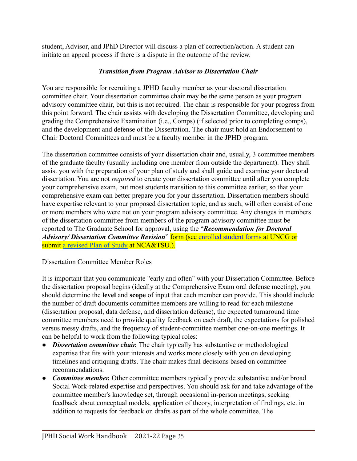student, Advisor, and JPhD Director will discuss a plan of correction/action. A student can initiate an appeal process if there is a dispute in the outcome of the review.

#### *Transition from Program Advisor to Dissertation Chair*

You are responsible for recruiting a JPHD faculty member as your doctoral dissertation committee chair. Your dissertation committee chair may be the same person as your program advisory committee chair, but this is not required. The chair is responsible for your progress from this point forward. The chair assists with developing the Dissertation Committee, developing and grading the Comprehensive Examination (i.e., Comps) (if selected prior to completing comps), and the development and defense of the Dissertation. The chair must hold an Endorsement to Chair Doctoral Committees and must be a faculty member in the JPHD program.

The dissertation committee consists of your dissertation chair and, usually, 3 committee members of the graduate faculty (usually including one member from outside the department). They shall assist you with the preparation of your plan of study and shall guide and examine your doctoral dissertation. You are not *required* to create your dissertation committee until after you complete your comprehensive exam, but most students transition to this committee earlier, so that your comprehensive exam can better prepare you for your dissertation. Dissertation members should have expertise relevant to your proposed dissertation topic, and as such, will often consist of one or more members who were not on your program advisory committee. Any changes in members of the dissertation committee from members of the program advisory committee must be reported to The Graduate School for approval, using the "*Recommendation for Doctoral Advisory/ Dissertation Committee Revision*" form (see [enrolled student forms](https://grs.uncg.edu/wp-content/uploads/2016/08/Recommendation-for-Doctoral-Advisory-Dissertation-Committee-Revision.pdf) at UNCG or submit [a revised Plan of Study](https://www.ncat.edu/tgc/continuing-students/forms/planofstudy.pdf) at NCA&TSU.).

#### Dissertation Committee Member Roles

It is important that you communicate "early and often" with your Dissertation Committee. Before the dissertation proposal begins (ideally at the Comprehensive Exam oral defense meeting), you should determine the **level** and **scope** of input that each member can provide. This should include the number of draft documents committee members are willing to read for each milestone (dissertation proposal, data defense, and dissertation defense), the expected turnaround time committee members need to provide quality feedback on each draft, the expectations for polished versus messy drafts, and the frequency of student-committee member one-on-one meetings. It can be helpful to work from the following typical roles:

- *Dissertation committee chair.* The chair typically has substantive or methodological expertise that fits with your interests and works more closely with you on developing timelines and critiquing drafts. The chair makes final decisions based on committee recommendations.
- **●** *Committee member.* Other committee members typically provide substantive and/or broad Social Work-related expertise and perspectives. You should ask for and take advantage of the committee member's knowledge set, through occasional in-person meetings, seeking feedback about conceptual models, application of theory, interpretation of findings, etc. in addition to requests for feedback on drafts as part of the whole committee. The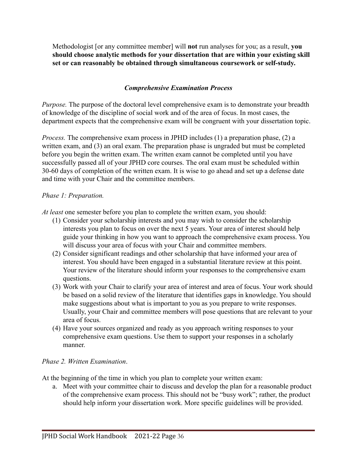Methodologist [or any committee member] will **not** run analyses for you; as a result, **you should choose analytic methods for your dissertation that are within your existing skill set or can reasonably be obtained through simultaneous coursework or self-study.**

#### *Comprehensive Examination Process*

<span id="page-35-0"></span>*Purpose.* The purpose of the doctoral level comprehensive exam is to demonstrate your breadth of knowledge of the discipline of social work and of the area of focus. In most cases, the department expects that the comprehensive exam will be congruent with your dissertation topic.

*Process.* The comprehensive exam process in JPHD includes (1) a preparation phase, (2) a written exam, and (3) an oral exam. The preparation phase is ungraded but must be completed before you begin the written exam. The written exam cannot be completed until you have successfully passed all of your JPHD core courses. The oral exam must be scheduled within 30-60 days of completion of the written exam. It is wise to go ahead and set up a defense date and time with your Chair and the committee members.

#### *Phase 1: Preparation.*

*At least* one semester before you plan to complete the written exam, you should:

- (1) Consider your scholarship interests and you may wish to consider the scholarship interests you plan to focus on over the next 5 years. Your area of interest should help guide your thinking in how you want to approach the comprehensive exam process. You will discuss your area of focus with your Chair and committee members.
- (2) Consider significant readings and other scholarship that have informed your area of interest. You should have been engaged in a substantial literature review at this point. Your review of the literature should inform your responses to the comprehensive exam questions.
- (3) Work with your Chair to clarify your area of interest and area of focus. Your work should be based on a solid review of the literature that identifies gaps in knowledge. You should make suggestions about what is important to you as you prepare to write responses. Usually, your Chair and committee members will pose questions that are relevant to your area of focus.
- (4) Have your sources organized and ready as you approach writing responses to your comprehensive exam questions. Use them to support your responses in a scholarly manner.

#### *Phase 2. Written Examination*.

At the beginning of the time in which you plan to complete your written exam:

a. Meet with your committee chair to discuss and develop the plan for a reasonable product of the comprehensive exam process. This should not be "busy work"; rather, the product should help inform your dissertation work. More specific guidelines will be provided.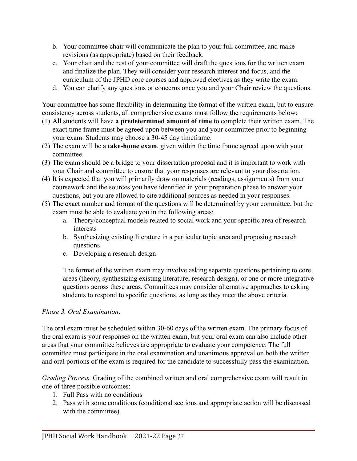- b. Your committee chair will communicate the plan to your full committee, and make revisions (as appropriate) based on their feedback.
- c. Your chair and the rest of your committee will draft the questions for the written exam and finalize the plan. They will consider your research interest and focus, and the curriculum of the JPHD core courses and approved electives as they write the exam.
- d. You can clarify any questions or concerns once you and your Chair review the questions.

Your committee has some flexibility in determining the format of the written exam, but to ensure consistency across students, all comprehensive exams must follow the requirements below:

- (1) All students will have **a predetermined amount of time** to complete their written exam. The exact time frame must be agreed upon between you and your committee prior to beginning your exam. Students may choose a 30-45 day timeframe.
- (2) The exam will be a **take-home exam**, given within the time frame agreed upon with your committee.
- (3) The exam should be a bridge to your dissertation proposal and it is important to work with your Chair and committee to ensure that your responses are relevant to your dissertation.
- (4) It is expected that you will primarily draw on materials (readings, assignments) from your coursework and the sources you have identified in your preparation phase to answer your questions, but you are allowed to cite additional sources as needed in your responses.
- (5) The exact number and format of the questions will be determined by your committee, but the exam must be able to evaluate you in the following areas:
	- a. Theory/conceptual models related to social work and your specific area of research interests
	- b. Synthesizing existing literature in a particular topic area and proposing research questions
	- c. Developing a research design

The format of the written exam may involve asking separate questions pertaining to core areas (theory, synthesizing existing literature, research design), or one or more integrative questions across these areas. Committees may consider alternative approaches to asking students to respond to specific questions, as long as they meet the above criteria.

#### *Phase 3. Oral Examination*.

The oral exam must be scheduled within 30-60 days of the written exam. The primary focus of the oral exam is your responses on the written exam, but your oral exam can also include other areas that your committee believes are appropriate to evaluate your competence. The full committee must participate in the oral examination and unanimous approval on both the written and oral portions of the exam is required for the candidate to successfully pass the examination.

*Grading Process.* Grading of the combined written and oral comprehensive exam will result in one of three possible outcomes:

- 1. Full Pass with no conditions
- 2. Pass with some conditions (conditional sections and appropriate action will be discussed with the committee).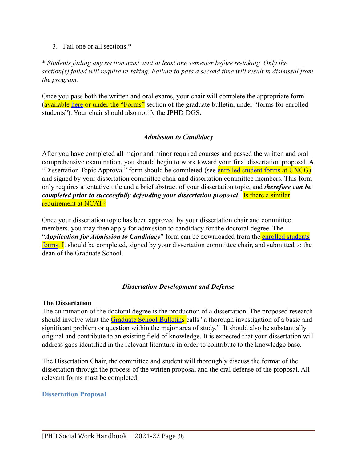#### 3 Fail one or all sections  $*$

\* *Students failing any section must wait at least one semester before re-taking. Only the section(s) failed will require re-taking. Failure to pass a second time will result in dismissal from the program.*

Once you pass both the written and oral exams, your chair will complete the appropriate form (available [here](https://grs.uncg.edu/wp-content/uploads/2012/02/Results-of-Doctoral-Preliminary-Examinations.pdf) or under the "Forms" section of the graduate bulletin, under "forms for enrolled students"). Your chair should also notify the JPHD DGS.

#### *Admission to Candidacy*

<span id="page-37-0"></span>After you have completed all major and minor required courses and passed the written and oral comprehensive examination, you should begin to work toward your final dissertation proposal. A "Dissertation Topic Approval" form should be completed (see [enrolled student forms](https://grs.uncg.edu/wp-content/uploads/2017/07/DissertationTopic.pdf) at UNCG) and signed by your dissertation committee chair and dissertation committee members. This form only requires a tentative title and a brief abstract of your dissertation topic, and *therefore can be completed prior to successfully defending your dissertation proposal*. Is there a similar requirement at NCAT?

Once your dissertation topic has been approved by your dissertation chair and committee members, you may then apply for admission to candidacy for the doctoral degree. The "*Application for Admission to Candidacy*" form can be downloaded from the **[enrolled students](https://grs.uncg.edu/wp-content/uploads/2016/08/Application-for-Admission-to-Candicacy-Doctoral-Candidates-Only.pdf)** [forms.](https://grs.uncg.edu/wp-content/uploads/2016/08/Application-for-Admission-to-Candicacy-Doctoral-Candidates-Only.pdf) It should be completed, signed by your dissertation committee chair, and submitted to the dean of the Graduate School.

#### *Dissertation Development and Defense*

#### <span id="page-37-1"></span>**The Dissertation**

The culmination of the doctoral degree is the production of a dissertation. The proposed research should involve what the [Graduate School Bulletins](https://grs.uncg.edu/graduatebulletin/doctoral-degrees/) calls "a thorough investigation of a basic and significant problem or question within the major area of study." It should also be substantially original and contribute to an existing field of knowledge. It is expected that your dissertation will address gaps identified in the relevant literature in order to contribute to the knowledge base.

The Dissertation Chair, the committee and student will thoroughly discuss the format of the dissertation through the process of the written proposal and the oral defense of the proposal. All relevant forms must be completed.

#### <span id="page-37-2"></span>**Dissertation Proposal**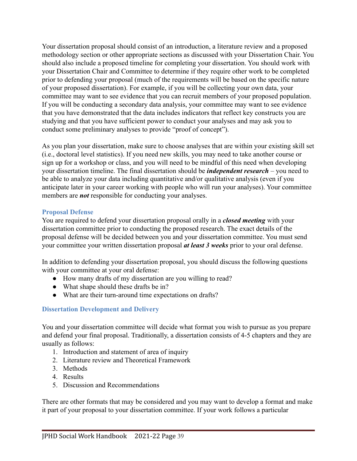Your dissertation proposal should consist of an introduction, a literature review and a proposed methodology section or other appropriate sections as discussed with your Dissertation Chair. You should also include a proposed timeline for completing your dissertation. You should work with your Dissertation Chair and Committee to determine if they require other work to be completed prior to defending your proposal (much of the requirements will be based on the specific nature of your proposed dissertation). For example, if you will be collecting your own data, your committee may want to see evidence that you can recruit members of your proposed population. If you will be conducting a secondary data analysis, your committee may want to see evidence that you have demonstrated that the data includes indicators that reflect key constructs you are studying and that you have sufficient power to conduct your analyses and may ask you to conduct some preliminary analyses to provide "proof of concept").

As you plan your dissertation, make sure to choose analyses that are within your existing skill set (i.e., doctoral level statistics). If you need new skills, you may need to take another course or sign up for a workshop or class, and you will need to be mindful of this need when developing your dissertation timeline. The final dissertation should be *independent research* – you need to be able to analyze your data including quantitative and/or qualitative analysis (even if you anticipate later in your career working with people who will run your analyses). Your committee members are *not* responsible for conducting your analyses.

#### **Proposal Defense**

You are required to defend your dissertation proposal orally in a *closed meeting* with your dissertation committee prior to conducting the proposed research. The exact details of the proposal defense will be decided between you and your dissertation committee. You must send your committee your written dissertation proposal *at least 3 weeks* prior to your oral defense.

In addition to defending your dissertation proposal, you should discuss the following questions with your committee at your oral defense:

- How many drafts of my dissertation are you willing to read?
- What shape should these drafts be in?
- What are their turn-around time expectations on drafts?

#### <span id="page-38-0"></span>**Dissertation Development and Delivery**

You and your dissertation committee will decide what format you wish to pursue as you prepare and defend your final proposal. Traditionally, a dissertation consists of 4-5 chapters and they are usually as follows:

- 1. Introduction and statement of area of inquiry
- 2. Literature review and Theoretical Framework
- 3. Methods
- 4. Results
- 5. Discussion and Recommendations

There are other formats that may be considered and you may want to develop a format and make it part of your proposal to your dissertation committee. If your work follows a particular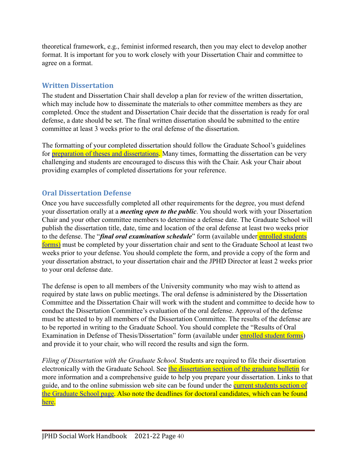theoretical framework, e.g., feminist informed research, then you may elect to develop another format. It is important for you to work closely with your Dissertation Chair and committee to agree on a format.

#### <span id="page-39-0"></span>**Written Dissertation**

The student and Dissertation Chair shall develop a plan for review of the written dissertation, which may include how to disseminate the materials to other committee members as they are completed. Once the student and Dissertation Chair decide that the dissertation is ready for oral defense, a date should be set. The final written dissertation should be submitted to the entire committee at least 3 weeks prior to the oral defense of the dissertation.

The formatting of your completed dissertation should follow the Graduate School's guidelines for [preparation of theses and dissertations](https://grs.uncg.edu/graduatebulletin/doctoral-degrees/). Many times, formatting the dissertation can be very challenging and students are encouraged to discuss this with the Chair. Ask your Chair about providing examples of completed dissertations for your reference.

## <span id="page-39-1"></span>**Oral Dissertation Defense**

Once you have successfully completed all other requirements for the degree, you must defend your dissertation orally at a *meeting open to the public*. You should work with your Dissertation Chair and your other committee members to determine a defense date. The Graduate School will publish the dissertation title, date, time and location of the oral defense at least two weeks prior to the defense. The "*final oral examination schedule*" form (available under [enrolled students](https://grs.uncg.edu/wp-content/uploads/2016/08/Final-Oral-Examination-Schedule.pdf) [forms\)](https://grs.uncg.edu/wp-content/uploads/2016/08/Final-Oral-Examination-Schedule.pdf) must be completed by your dissertation chair and sent to the Graduate School at least two weeks prior to your defense. You should complete the form, and provide a copy of the form and your dissertation abstract, to your dissertation chair and the JPHD Director at least 2 weeks prior to your oral defense date.

The defense is open to all members of the University community who may wish to attend as required by state laws on public meetings. The oral defense is administered by the Dissertation Committee and the Dissertation Chair will work with the student and committee to decide how to conduct the Dissertation Committee's evaluation of the oral defense. Approval of the defense must be attested to by all members of the Dissertation Committee. The results of the defense are to be reported in writing to the Graduate School. You should complete the "Results of Oral Examination in Defense of Thesis/Dissertation" form (available under [enrolled student forms\)](https://grs.uncg.edu/wp-content/uploads/2017/07/oralexam.pdf) and provide it to your chair, who will record the results and sign the form.

*Filing of Dissertation with the Graduate School.* Students are required to file their dissertation electronically with the Graduate School. See the dissertation [section of the graduate bulletin](https://grs.uncg.edu/graduatebulletin/doctoral-degrees/) for more information and a comprehensive guide to help you prepare your dissertation. Links to that guide, and to the online submission web site can be found under the [current students section of](http://grs.uncg.edu/current/) [the Graduate School page.](http://grs.uncg.edu/current/) Also note the deadlines for doctoral candidates, which can be found [here.](http://reg.uncg.edu/calendars/)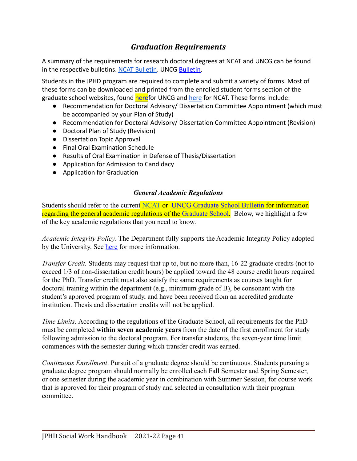## *Graduation Requirements*

<span id="page-40-0"></span>A summary of the requirements for research doctoral degrees at NCAT and UNCG can be found in the respective bulletins. [NCAT Bulletin](https://www.ncat.edu/tgc/graduate-catalog/index.php). UNCG [Bulletin](https://grs.uncg.edu/graduatebulletin/regulations/).

Students in the JPHD program are required to complete and submit a variety of forms. Most of these forms can be downloaded and printed from the enrolled student forms section of the graduate school websites, found [here](https://www.ncat.edu/tgc/continuing-students/forms/index.php)for UNCG and here for NCAT. These forms include:

- Recommendation for Doctoral Advisory/ Dissertation Committee Appointment (which must be accompanied by your Plan of Study)
- Recommendation for Doctoral Advisory/ Dissertation Committee Appointment (Revision)
- Doctoral Plan of Study (Revision)
- Dissertation Topic Approval
- Final Oral Examination Schedule
- Results of Oral Examination in Defense of Thesis/Dissertation
- Application for Admission to Candidacy
- Application for Graduation

#### *General Academic Regulations*

<span id="page-40-1"></span>Students should refer to the current [NCAT](https://www.ncat.edu/tgc/graduate-catalog/index.php) or UNCG [Graduate School Bulletin](http://grs.uncg.edu/bulletin/) for information regarding the general academic regulations of the [Graduate School.](http://grs.uncg.edu/) Below, we highlight a few of the key academic regulations that you need to know.

*Academic Integrity Policy*. The Department fully supports the Academic Integrity Policy adopted by the University. See [here](https://sa.uncg.edu/handbook/policies/) for more information.

*Transfer Credit.* Students may request that up to, but no more than, 16-22 graduate credits (not to exceed 1/3 of non-dissertation credit hours) be applied toward the 48 course credit hours required for the PhD. Transfer credit must also satisfy the same requirements as courses taught for doctoral training within the department (e.g., minimum grade of B), be consonant with the student's approved program of study, and have been received from an accredited graduate institution. Thesis and dissertation credits will not be applied.

*Time Limits.* According to the regulations of the Graduate School, all requirements for the PhD must be completed **within seven academic years** from the date of the first enrollment for study following admission to the doctoral program. For transfer students, the seven-year time limit commences with the semester during which transfer credit was earned.

*Continuous Enrollment*. Pursuit of a graduate degree should be continuous. Students pursuing a graduate degree program should normally be enrolled each Fall Semester and Spring Semester, or one semester during the academic year in combination with Summer Session, for course work that is approved for their program of study and selected in consultation with their program committee.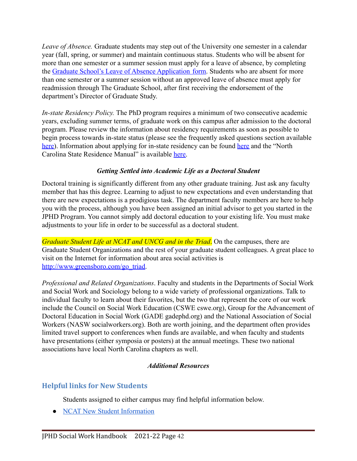*Leave of Absence.* Graduate students may step out of the University one semester in a calendar year (fall, spring, or summer) and maintain continuous status. Students who will be absent for more than one semester or a summer session must apply for a leave of absence, by completing the [Graduate School's Leave of Absence Application](https://grs.uncg.edu/wp-content/uploads/2016/08/Leave-of-Absence-Application.pdf) form. Students who are absent for more than one semester or a summer session without an approved leave of absence must apply for readmission through The Graduate School, after first receiving the endorsement of the department's Director of Graduate Study.

*In-state Residency Policy.* The PhD program requires a minimum of two consecutive academic years, excluding summer terms, of graduate work on this campus after admission to the doctoral program. Please review the information about residency requirements as soon as possible to begin process towards in-state status (please see the frequently asked questions section available [here\)](https://ncresidency.cfnc.org/residencyInfo/studentFAQ). Information about applying for in-state residency can be found [here](https://reg.uncg.edu/residency-reclassification/) and the "North" Carolina State Residence Manual" is available [here.](http://www.northcarolina.edu/?q=state-residence/state-residence-committee)

#### *Getting Settled into Academic Life as a Doctoral Student*

<span id="page-41-0"></span>Doctoral training is significantly different from any other graduate training. Just ask any faculty member that has this degree. Learning to adjust to new expectations and even understanding that there are new expectations is a prodigious task. The department faculty members are here to help you with the process, although you have been assigned an initial advisor to get you started in the JPHD Program. You cannot simply add doctoral education to your existing life. You must make adjustments to your life in order to be successful as a doctoral student.

*Graduate Student Life at NCAT and UNCG and in the Triad*. On the campuses, there are Graduate Student Organizations and the rest of your graduate student colleagues. A great place to visit on the Internet for information about area social activities is [http://www.greensboro.com/go\\_triad](http://www.greensboro.com/go_triad/).

*Professional and Related Organizations*. Faculty and students in the Departments of Social Work and Social Work and Sociology belong to a wide variety of professional organizations. Talk to individual faculty to learn about their favorites, but the two that represent the core of our work include the Council on Social Work Education (CSWE cswe.org), Group for the Advancement of Doctoral Education in Social Work (GADE gadephd.org) and the National Association of Social Workers (NASW socialworkers.org). Both are worth joining, and the department often provides limited travel support to conferences when funds are available, and when faculty and students have presentations (either symposia or posters) at the annual meetings. These two national associations have local North Carolina chapters as well.

#### *Additional Resources*

## <span id="page-41-2"></span><span id="page-41-1"></span>**Helpful links for New Students**

Students assigned to either campus may find helpful information below.

● [NCAT New Student Information](https://www.ncat.edu/tgc/new-students/index.php)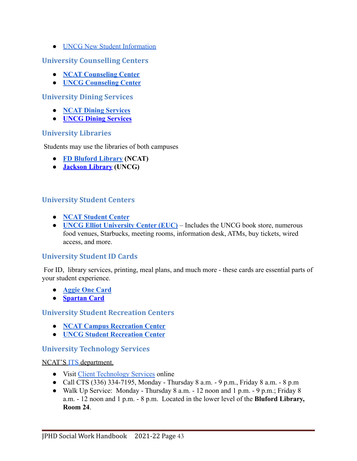● [UNCG New Student Information](https://grs.uncg.edu/orientation/)

#### <span id="page-42-0"></span>**University Counselling Centers**

- **● [NCAT Counseling Center](https://www.ncat.edu/campus-life/student-affairs/departments/counseling-services/index.php)**
- **● [UNCG Counseling Center](https://shs.uncg.edu/cc)**

#### <span id="page-42-1"></span>**University Dining Services**

- **[NCAT Dining Services](https://www.ncatdining.com/)**
- **[UNCG Dining Services](http://dining.uncg.edu/)**

#### <span id="page-42-2"></span>**University Libraries**

Students may use the libraries of both campuses

- **[FD Bluford Library](http://www.library.ncat.edu/) (NCAT)**
- **[Jackson Library](http://library.uncg.edu/) (UNCG)**

#### <span id="page-42-3"></span>**University Student Centers**

- **[NCAT Student Center](https://www.ncat.edu/campus-life/student-affairs/departments/student-center/index.php)**
- **[UNCG Elliot University Center \(EUC\)](http://euc.uncg.edu/)** Includes the UNCG book store, numerous food venues, Starbucks, meeting rooms, information desk, ATMs, buy tickets, wired access, and more.

#### <span id="page-42-4"></span>**University Student ID Cards**

For ID, library services, printing, meal plans, and much more - these cards are essential parts of your student experience.

- **● [Aggie One Card](https://www.ncat.edu/campus-life/campus-enterprises/aggie-onecard/index.php)**
- **[Spartan Card](http://spartancard.uncg.edu/)**

#### <span id="page-42-5"></span>**University Student Recreation Centers**

- **[NCAT Campus Recreation Center](https://www.ncat.edu/campus-life/sports-and-fitness/campus-recreation-center/index.php)**
- **[UNCG Student Recreation Center](https://recwell.uncg.edu/)**

#### <span id="page-42-6"></span>**University Technology Services**

#### NCAT'S [ITS](https://hub.ncat.edu/administration/its/index.php) department.

- Visit [Client Technology Services](https://hub.ncat.edu/administration/its/client-technology-services.php) online
- Call CTS (336) 334-7195, Monday Thursday 8 a.m. 9 p.m., Friday 8 a.m. 8 p.m
- Walk Up Service: Monday Thursday 8 a.m. 12 noon and 1 p.m. 9 p.m.; Friday 8 a.m. - 12 noon and 1 p.m. - 8 p.m. Located in the lower level of the **Bluford Library, Room 24**.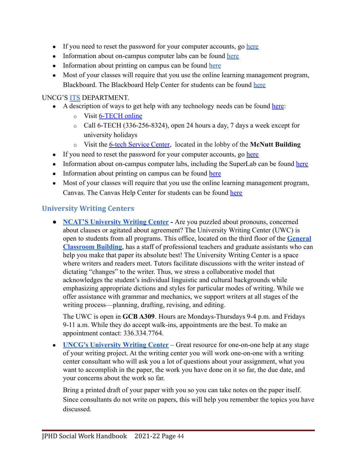- If you need to reset the password for your computer accounts, go [here](https://oneid.reset.ncat.edu/default.aspx)
- Information about on-campus computer labs can be found [here](http://coecc.ncat.edu/Lab-Information.html)
- Information about printing on campus can be found [here](http://www.library.ncat.edu/computers)
- Most of your classes will require that you use the online learning management program, Blackboard. The Blackboard Help Center for students can be found [here](https://online.ncat.edu/blackboard-resource.html)

#### UNCG'S [ITS](https://its.uncg.edu/) DEPARTMENT.

- A description of ways to get help with any technology needs can be found [here](http://its.uncg.edu/Help/):
	- o Visit [6-TECH online](http://its.uncg.edu/services)
	- $\circ$  Call 6-TECH (336-256-8324), open 24 hours a day, 7 days a week except for university holidays
	- o Visit the [6-tech Service Center](http://its.uncg.edu/TSC/), located in the lobby of the **McNutt Building**
- If you need to reset the password for your computer accounts, go [here](https://banweb.uncg.edu/prod/hwzksspr.P_UncgSSPR)
- Information about on-campus computer labs, including the SuperLab can be found [here](http://its.uncg.edu/Labs/About/)
- Information about printing on campus can be found [here](http://its.uncg.edu/Printing/)
- Most of your classes will require that you use the online learning management program, Canvas. The Canvas Help Center for students can be found [here](http://guides.instructure.com/m/4212)

#### <span id="page-43-0"></span>**University Writing Centers**

● **[NCAT'S University Writing Center](https://www.ncat.edu/academics/academic-resources/university-writing-center.php) -** Are you puzzled about pronouns, concerned about clauses or agitated about agreement? The University Writing Center (UWC) is open to students from all programs. This office, located on the third floor of the **[General](https://www.ncat.edu/admissions/undergraduate/visit-us/campusmap.pdf) [Classroom Building](https://www.ncat.edu/admissions/undergraduate/visit-us/campusmap.pdf)**, has a staff of professional teachers and graduate assistants who can help you make that paper its absolute best! The University Writing Center is a space where writers and readers meet. Tutors facilitate discussions with the writer instead of dictating "changes" to the writer. Thus, we stress a collaborative model that acknowledges the student's individual linguistic and cultural backgrounds while emphasizing appropriate dictions and styles for particular modes of writing. While we offer assistance with grammar and mechanics, we support writers at all stages of the writing process—planning, drafting, revising, and editing.

The UWC is open in **GCB A309**. Hours are Mondays-Thursdays 9-4 p.m. and Fridays 9-11 a.m. While they do accept walk-ins, appointments are the best. To make an appointment contact: 336.334.7764.

• **[UNCG's University Writing Center](https://writingcenter.uncg.edu/)** – Great resource for one-on-one help at any stage of your writing project. At the writing center you will work one-on-one with a writing center consultant who will ask you a lot of questions about your assignment, what you want to accomplish in the paper, the work you have done on it so far, the due date, and your concerns about the work so far.

Bring a printed draft of your paper with you so you can take notes on the paper itself. Since consultants do not write on papers, this will help you remember the topics you have discussed.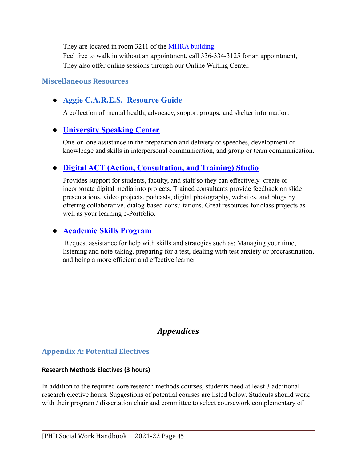They are located in room 3211 of the [MHRA building.](http://www.uncg.edu/online-map/) Feel free to walk in without an appointment, call 336-334-3125 for an appointment, They also offer online sessions through our Online Writing Center.

#### <span id="page-44-0"></span>**Miscellaneous Resources**

## <span id="page-44-1"></span>**● Aggie [C.A.R.E.S.](https://www.ncat.edu/campus-life/student-affairs/departments/counseling-services/resources/index.php) Resource Guide**

A collection of mental health, advocacy, support groups, and shelter information.

## <span id="page-44-2"></span>**● [University](https://speakingcenter.uncg.edu/) Speaking Center**

One-on-one assistance in the preparation and delivery of speeches, development of knowledge and skills in interpersonal communication, and group or team communication.

## <span id="page-44-3"></span>**● Digital ACT (Action, [Consultation,](http://digitalactstudio.uncg.edu/) and Training) Studio**

Provides support for students, faculty, and staff so they can effectively create or incorporate digital media into projects. Trained consultants provide feedback on slide presentations, video projects, podcasts, digital photography, websites, and blogs by offering collaborative, dialog-based consultations. Great resources for class projects as well as your learning e-Portfolio.

## <span id="page-44-4"></span>**● [Academic](https://studentsuccess.uncg.edu/home/) Skills Program**

Request assistance for help with skills and strategies such as: Managing your time, listening and note-taking, preparing for a test, dealing with test anxiety or procrastination, and being a more efficient and effective learner

## *Appendices*

## <span id="page-44-6"></span><span id="page-44-5"></span>**Appendix A: Potential Electives**

#### **Research Methods Electives (3 hours)**

In addition to the required core research methods courses, students need at least 3 additional research elective hours. Suggestions of potential courses are listed below. Students should work with their program / dissertation chair and committee to select coursework complementary of